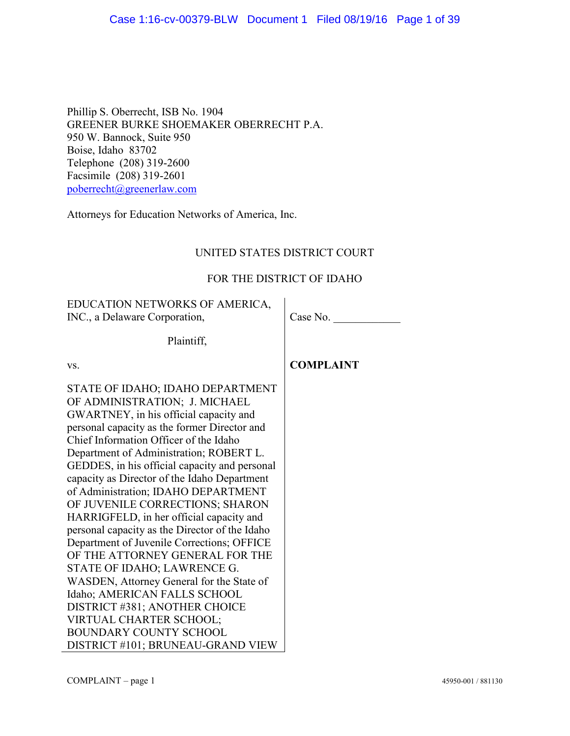Phillip S. Oberrecht, ISB No. 1904 GREENER BURKE SHOEMAKER OBERRECHT P.A. 950 W. Bannock, Suite 950 Boise, Idaho 83702 Telephone (208) 319-2600 Facsimile (208) 319-2601 poberrecht@greenerlaw.com

Attorneys for Education Networks of America, Inc.

# UNITED STATES DISTRICT COURT

# FOR THE DISTRICT OF IDAHO

EDUCATION NETWORKS OF AMERICA, INC., a Delaware Corporation,

Case No.

Plaintiff,

vs.

STATE OF IDAHO; IDAHO DEPARTMENT OF ADMINISTRATION; J. MICHAEL GWARTNEY, in his official capacity and personal capacity as the former Director and Chief Information Officer of the Idaho Department of Administration; ROBERT L. GEDDES, in his official capacity and personal capacity as Director of the Idaho Department of Administration; IDAHO DEPARTMENT OF JUVENILE CORRECTIONS; SHARON HARRIGFELD, in her official capacity and personal capacity as the Director of the Idaho Department of Juvenile Corrections; OFFICE OF THE ATTORNEY GENERAL FOR THE STATE OF IDAHO; LAWRENCE G. WASDEN, Attorney General for the State of Idaho; AMERICAN FALLS SCHOOL DISTRICT #381; ANOTHER CHOICE VIRTUAL CHARTER SCHOOL; BOUNDARY COUNTY SCHOOL DISTRICT #101; BRUNEAU-GRAND VIEW **COMPLAINT**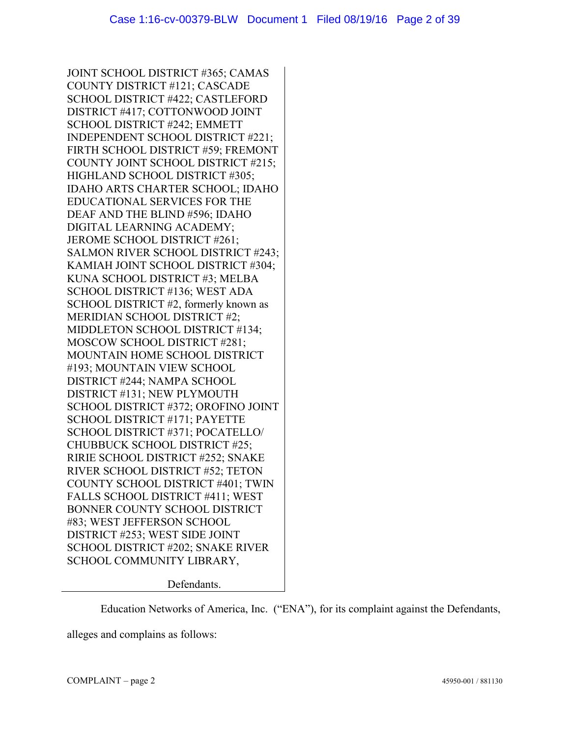JOINT SCHOOL DISTRICT #365; CAMAS COUNTY DISTRICT #121; CASCADE SCHOOL DISTRICT #422; CASTLEFORD DISTRICT #417; COTTONWOOD JOINT SCHOOL DISTRICT #242; EMMETT INDEPENDENT SCHOOL DISTRICT #221; FIRTH SCHOOL DISTRICT #59; FREMONT COUNTY JOINT SCHOOL DISTRICT #215; HIGHLAND SCHOOL DISTRICT #305; IDAHO ARTS CHARTER SCHOOL; IDAHO EDUCATIONAL SERVICES FOR THE DEAF AND THE BLIND #596; IDAHO DIGITAL LEARNING ACADEMY; JEROME SCHOOL DISTRICT #261; SALMON RIVER SCHOOL DISTRICT #243; KAMIAH JOINT SCHOOL DISTRICT #304; KUNA SCHOOL DISTRICT #3; MELBA SCHOOL DISTRICT #136; WEST ADA SCHOOL DISTRICT #2, formerly known as MERIDIAN SCHOOL DISTRICT #2; MIDDLETON SCHOOL DISTRICT #134; MOSCOW SCHOOL DISTRICT #281; MOUNTAIN HOME SCHOOL DISTRICT #193; MOUNTAIN VIEW SCHOOL DISTRICT #244; NAMPA SCHOOL DISTRICT #131; NEW PLYMOUTH SCHOOL DISTRICT #372; OROFINO JOINT SCHOOL DISTRICT #171; PAYETTE SCHOOL DISTRICT #371; POCATELLO/ CHUBBUCK SCHOOL DISTRICT #25; RIRIE SCHOOL DISTRICT #252; SNAKE RIVER SCHOOL DISTRICT #52; TETON COUNTY SCHOOL DISTRICT #401; TWIN FALLS SCHOOL DISTRICT #411; WEST BONNER COUNTY SCHOOL DISTRICT #83; WEST JEFFERSON SCHOOL DISTRICT #253; WEST SIDE JOINT SCHOOL DISTRICT #202; SNAKE RIVER SCHOOL COMMUNITY LIBRARY,

Defendants.

Education Networks of America, Inc. ("ENA"), for its complaint against the Defendants,

alleges and complains as follows: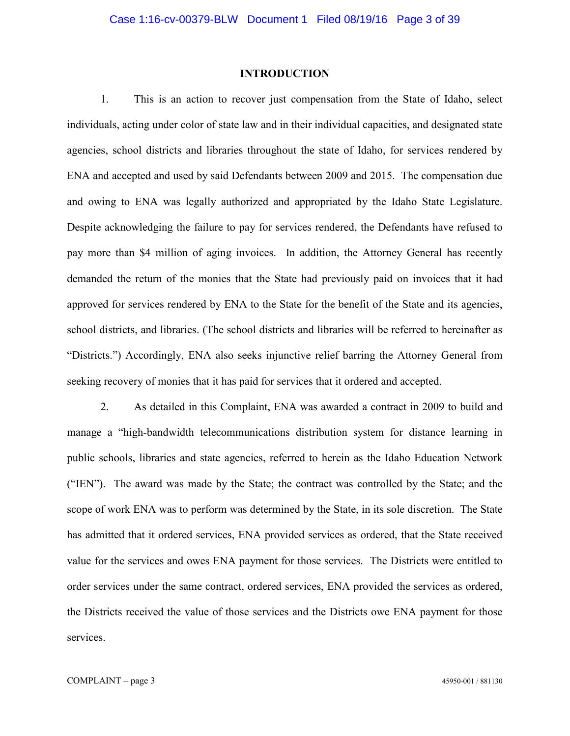#### **INTRODUCTION**

1. This is an action to recover just compensation from the State of Idaho, select individuals, acting under color of state law and in their individual capacities, and designated state agencies, school districts and libraries throughout the state of Idaho, for services rendered by ENA and accepted and used by said Defendants between 2009 and 2015. The compensation due and owing to ENA was legally authorized and appropriated by the Idaho State Legislature. Despite acknowledging the failure to pay for services rendered, the Defendants have refused to pay more than \$4 million of aging invoices. In addition, the Attorney General has recently demanded the return of the monies that the State had previously paid on invoices that it had approved for services rendered by ENA to the State for the benefit of the State and its agencies, school districts, and libraries. (The school districts and libraries will be referred to hereinafter as "Districts.") Accordingly, ENA also seeks injunctive relief barring the Attorney General from seeking recovery of monies that it has paid for services that it ordered and accepted.

2. As detailed in this Complaint, ENA was awarded a contract in 2009 to build and manage a "high-bandwidth telecommunications distribution system for distance learning in public schools, libraries and state agencies, referred to herein as the Idaho Education Network ("IEN"). The award was made by the State; the contract was controlled by the State; and the scope of work ENA was to perform was determined by the State, in its sole discretion. The State has admitted that it ordered services, ENA provided services as ordered, that the State received value for the services and owes ENA payment for those services. The Districts were entitled to order services under the same contract, ordered services, ENA provided the services as ordered, the Districts received the value of those services and the Districts owe ENA payment for those services.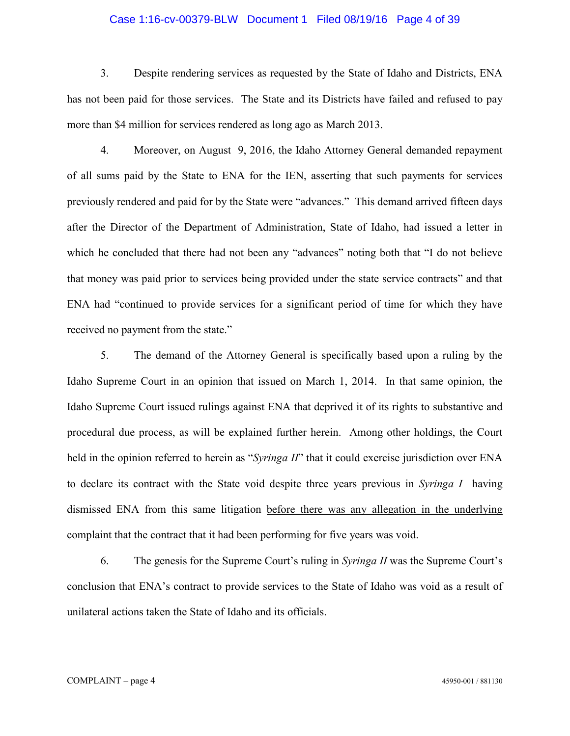# Case 1:16-cv-00379-BLW Document 1 Filed 08/19/16 Page 4 of 39

3. Despite rendering services as requested by the State of Idaho and Districts, ENA has not been paid for those services. The State and its Districts have failed and refused to pay more than \$4 million for services rendered as long ago as March 2013.

4. Moreover, on August 9, 2016, the Idaho Attorney General demanded repayment of all sums paid by the State to ENA for the IEN, asserting that such payments for services previously rendered and paid for by the State were "advances." This demand arrived fifteen days after the Director of the Department of Administration, State of Idaho, had issued a letter in which he concluded that there had not been any "advances" noting both that "I do not believe that money was paid prior to services being provided under the state service contracts" and that ENA had "continued to provide services for a significant period of time for which they have received no payment from the state."

5. The demand of the Attorney General is specifically based upon a ruling by the Idaho Supreme Court in an opinion that issued on March 1, 2014. In that same opinion, the Idaho Supreme Court issued rulings against ENA that deprived it of its rights to substantive and procedural due process, as will be explained further herein. Among other holdings, the Court held in the opinion referred to herein as "*Syringa II*" that it could exercise jurisdiction over ENA to declare its contract with the State void despite three years previous in *Syringa I* having dismissed ENA from this same litigation before there was any allegation in the underlying complaint that the contract that it had been performing for five years was void.

6. The genesis for the Supreme Court's ruling in *Syringa II* was the Supreme Court's conclusion that ENA's contract to provide services to the State of Idaho was void as a result of unilateral actions taken the State of Idaho and its officials.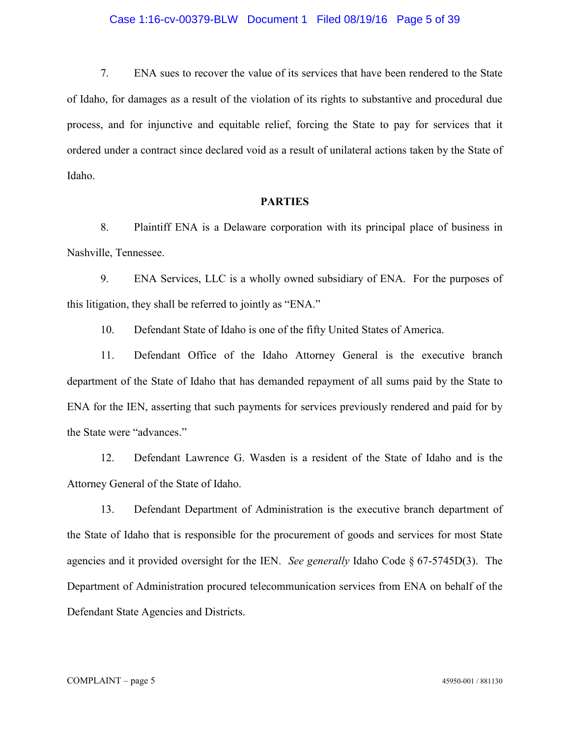# Case 1:16-cv-00379-BLW Document 1 Filed 08/19/16 Page 5 of 39

7. ENA sues to recover the value of its services that have been rendered to the State of Idaho, for damages as a result of the violation of its rights to substantive and procedural due process, and for injunctive and equitable relief, forcing the State to pay for services that it ordered under a contract since declared void as a result of unilateral actions taken by the State of Idaho.

## **PARTIES**

8. Plaintiff ENA is a Delaware corporation with its principal place of business in Nashville, Tennessee.

9. ENA Services, LLC is a wholly owned subsidiary of ENA. For the purposes of this litigation, they shall be referred to jointly as "ENA."

10. Defendant State of Idaho is one of the fifty United States of America.

11. Defendant Office of the Idaho Attorney General is the executive branch department of the State of Idaho that has demanded repayment of all sums paid by the State to ENA for the IEN, asserting that such payments for services previously rendered and paid for by the State were "advances."

12. Defendant Lawrence G. Wasden is a resident of the State of Idaho and is the Attorney General of the State of Idaho.

13. Defendant Department of Administration is the executive branch department of the State of Idaho that is responsible for the procurement of goods and services for most State agencies and it provided oversight for the IEN. *See generally* Idaho Code § 67-5745D(3). The Department of Administration procured telecommunication services from ENA on behalf of the Defendant State Agencies and Districts.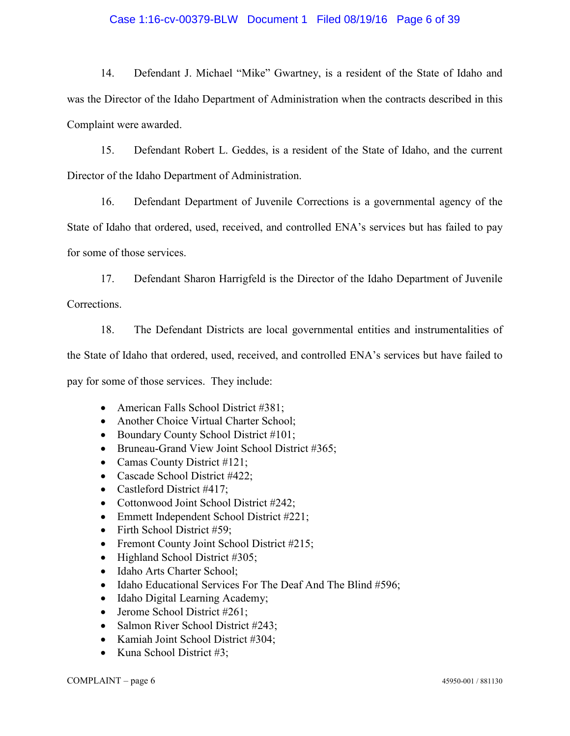# Case 1:16-cv-00379-BLW Document 1 Filed 08/19/16 Page 6 of 39

14. Defendant J. Michael "Mike" Gwartney, is a resident of the State of Idaho and was the Director of the Idaho Department of Administration when the contracts described in this Complaint were awarded.

15. Defendant Robert L. Geddes, is a resident of the State of Idaho, and the current Director of the Idaho Department of Administration.

16. Defendant Department of Juvenile Corrections is a governmental agency of the State of Idaho that ordered, used, received, and controlled ENA's services but has failed to pay for some of those services.

17. Defendant Sharon Harrigfeld is the Director of the Idaho Department of Juvenile

Corrections.

18. The Defendant Districts are local governmental entities and instrumentalities of the State of Idaho that ordered, used, received, and controlled ENA's services but have failed to pay for some of those services. They include:

- American Falls School District  $#381$ ;
- Another Choice Virtual Charter School;
- $\bullet$  Boundary County School District #101;
- Bruneau-Grand View Joint School District  $#365$ ;
- Camas County District  $#121$ ;
- Cascade School District  $#422$ ;
- Castleford District  $#417$ ;
- Cottonwood Joint School District  $#242$ ;
- $\bullet$  Emmett Independent School District #221;
- $\bullet$  Firth School District #59;
- Fremont County Joint School District  $#215$ ;
- $\bullet$  Highland School District #305;
- Idaho Arts Charter School;
- $\bullet$  Idaho Educational Services For The Deaf And The Blind #596;
- Idaho Digital Learning Academy;
- Jerome School District  $#261$ ;
- Salmon River School District  $#243$ ;
- Kamiah Joint School District #304;
- Kuna School District  $#3$ ;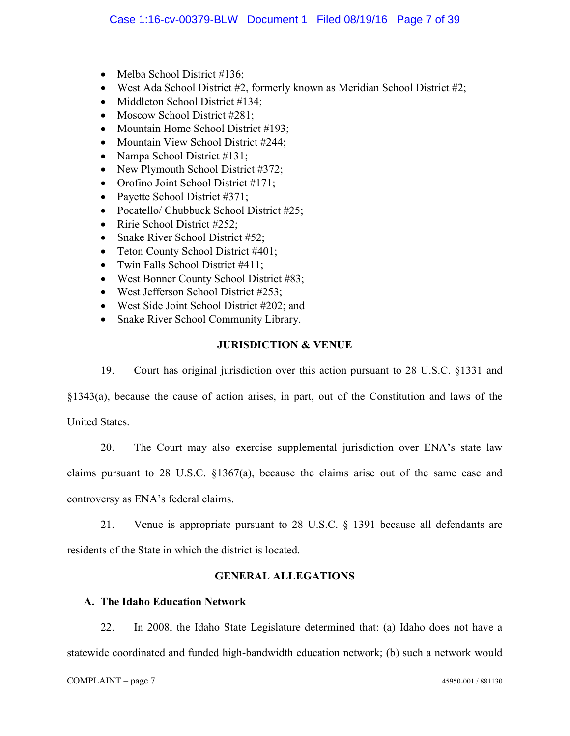- Melba School District  $#136$ ;
- West Ada School District  $#2$ , formerly known as Meridian School District  $#2$ ;
- Middleton School District  $#134$ ;
- Moscow School District  $#281$ ;
- Mountain Home School District  $#193$ ;
- Mountain View School District  $#244$ ;
- Nampa School District  $#131$ ;
- New Plymouth School District  $#372$ ;
- Orofino Joint School District  $#171$ ;
- Payette School District  $#371$ ;
- Pocatello/ Chubbuck School District  $#25$ ;
- Ririe School District  $#252$ ;
- Snake River School District  $#52$ ;
- Teton County School District #401;
- Twin Falls School District  $#411$ ;
- West Bonner County School District #83;
- $\bullet$  West Jefferson School District #253;
- West Side Joint School District  $#202$ ; and
- Snake River School Community Library.

# **JURISDICTION & VENUE**

19. Court has original jurisdiction over this action pursuant to 28 U.S.C. §1331 and

§1343(a), because the cause of action arises, in part, out of the Constitution and laws of the United States.

20. The Court may also exercise supplemental jurisdiction over ENA's state law claims pursuant to 28 U.S.C. §1367(a), because the claims arise out of the same case and controversy as ENA's federal claims.

21. Venue is appropriate pursuant to 28 U.S.C. § 1391 because all defendants are residents of the State in which the district is located.

# **GENERAL ALLEGATIONS**

# **A. The Idaho Education Network**

22. In 2008, the Idaho State Legislature determined that: (a) Idaho does not have a statewide coordinated and funded high-bandwidth education network; (b) such a network would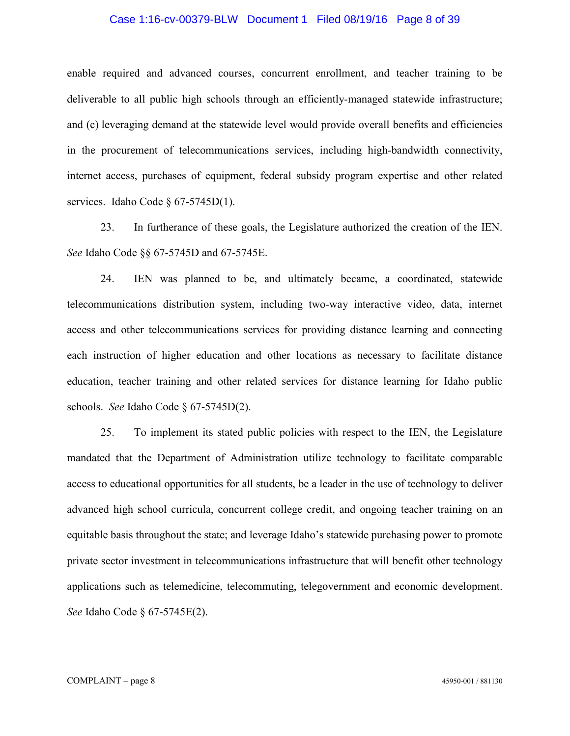## Case 1:16-cv-00379-BLW Document 1 Filed 08/19/16 Page 8 of 39

enable required and advanced courses, concurrent enrollment, and teacher training to be deliverable to all public high schools through an efficiently-managed statewide infrastructure; and (c) leveraging demand at the statewide level would provide overall benefits and efficiencies in the procurement of telecommunications services, including high-bandwidth connectivity, internet access, purchases of equipment, federal subsidy program expertise and other related services. Idaho Code § 67-5745D(1).

23. In furtherance of these goals, the Legislature authorized the creation of the IEN. *See* Idaho Code §§ 67-5745D and 67-5745E.

24. IEN was planned to be, and ultimately became, a coordinated, statewide telecommunications distribution system, including two-way interactive video, data, internet access and other telecommunications services for providing distance learning and connecting each instruction of higher education and other locations as necessary to facilitate distance education, teacher training and other related services for distance learning for Idaho public schools. *See* Idaho Code § 67-5745D(2).

25. To implement its stated public policies with respect to the IEN, the Legislature mandated that the Department of Administration utilize technology to facilitate comparable access to educational opportunities for all students, be a leader in the use of technology to deliver advanced high school curricula, concurrent college credit, and ongoing teacher training on an equitable basis throughout the state; and leverage Idaho's statewide purchasing power to promote private sector investment in telecommunications infrastructure that will benefit other technology applications such as telemedicine, telecommuting, telegovernment and economic development. *See* Idaho Code § 67-5745E(2).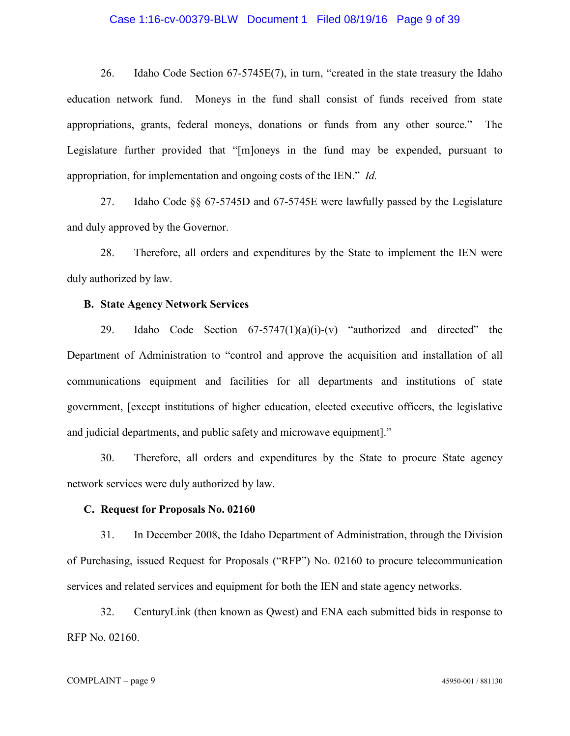# Case 1:16-cv-00379-BLW Document 1 Filed 08/19/16 Page 9 of 39

26. Idaho Code Section 67-5745E(7), in turn, "created in the state treasury the Idaho education network fund. Moneys in the fund shall consist of funds received from state appropriations, grants, federal moneys, donations or funds from any other source." The Legislature further provided that "[m]oneys in the fund may be expended, pursuant to appropriation, for implementation and ongoing costs of the IEN." *Id.*

27. Idaho Code §§ 67-5745D and 67-5745E were lawfully passed by the Legislature and duly approved by the Governor.

28. Therefore, all orders and expenditures by the State to implement the IEN were duly authorized by law.

## **B. State Agency Network Services**

29. Idaho Code Section  $67-5747(1)(a)(i)-(v)$  "authorized and directed" the Department of Administration to "control and approve the acquisition and installation of all communications equipment and facilities for all departments and institutions of state government, [except institutions of higher education, elected executive officers, the legislative and judicial departments, and public safety and microwave equipment]."

30. Therefore, all orders and expenditures by the State to procure State agency network services were duly authorized by law.

## **C. Request for Proposals No. 02160**

31. In December 2008, the Idaho Department of Administration, through the Division of Purchasing, issued Request for Proposals ("RFP") No. 02160 to procure telecommunication services and related services and equipment for both the IEN and state agency networks.

32. CenturyLink (then known as Qwest) and ENA each submitted bids in response to RFP No. 02160.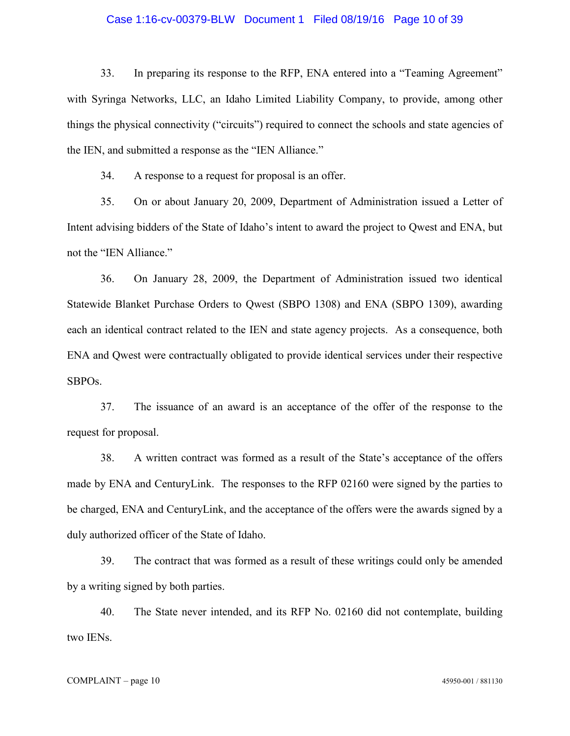## Case 1:16-cv-00379-BLW Document 1 Filed 08/19/16 Page 10 of 39

33. In preparing its response to the RFP, ENA entered into a "Teaming Agreement" with Syringa Networks, LLC, an Idaho Limited Liability Company, to provide, among other things the physical connectivity ("circuits") required to connect the schools and state agencies of the IEN, and submitted a response as the "IEN Alliance."

34. A response to a request for proposal is an offer.

35. On or about January 20, 2009, Department of Administration issued a Letter of Intent advising bidders of the State of Idaho's intent to award the project to Qwest and ENA, but not the "IEN Alliance."

36. On January 28, 2009, the Department of Administration issued two identical Statewide Blanket Purchase Orders to Qwest (SBPO 1308) and ENA (SBPO 1309), awarding each an identical contract related to the IEN and state agency projects. As a consequence, both ENA and Qwest were contractually obligated to provide identical services under their respective SBPOs.

37. The issuance of an award is an acceptance of the offer of the response to the request for proposal.

38. A written contract was formed as a result of the State's acceptance of the offers made by ENA and CenturyLink. The responses to the RFP 02160 were signed by the parties to be charged, ENA and CenturyLink, and the acceptance of the offers were the awards signed by a duly authorized officer of the State of Idaho.

39. The contract that was formed as a result of these writings could only be amended by a writing signed by both parties.

40. The State never intended, and its RFP No. 02160 did not contemplate, building two IENs.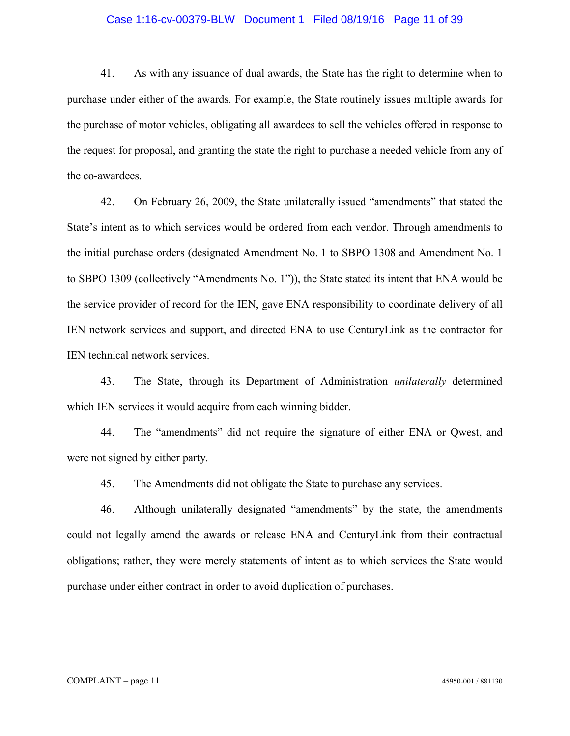## Case 1:16-cv-00379-BLW Document 1 Filed 08/19/16 Page 11 of 39

41. As with any issuance of dual awards, the State has the right to determine when to purchase under either of the awards. For example, the State routinely issues multiple awards for the purchase of motor vehicles, obligating all awardees to sell the vehicles offered in response to the request for proposal, and granting the state the right to purchase a needed vehicle from any of the co-awardees.

42. On February 26, 2009, the State unilaterally issued "amendments" that stated the State's intent as to which services would be ordered from each vendor. Through amendments to the initial purchase orders (designated Amendment No. 1 to SBPO 1308 and Amendment No. 1 to SBPO 1309 (collectively "Amendments No. 1")), the State stated its intent that ENA would be the service provider of record for the IEN, gave ENA responsibility to coordinate delivery of all IEN network services and support, and directed ENA to use CenturyLink as the contractor for IEN technical network services.

43. The State, through its Department of Administration *unilaterally* determined which IEN services it would acquire from each winning bidder.

44. The "amendments" did not require the signature of either ENA or Qwest, and were not signed by either party.

45. The Amendments did not obligate the State to purchase any services.

46. Although unilaterally designated "amendments" by the state, the amendments could not legally amend the awards or release ENA and CenturyLink from their contractual obligations; rather, they were merely statements of intent as to which services the State would purchase under either contract in order to avoid duplication of purchases.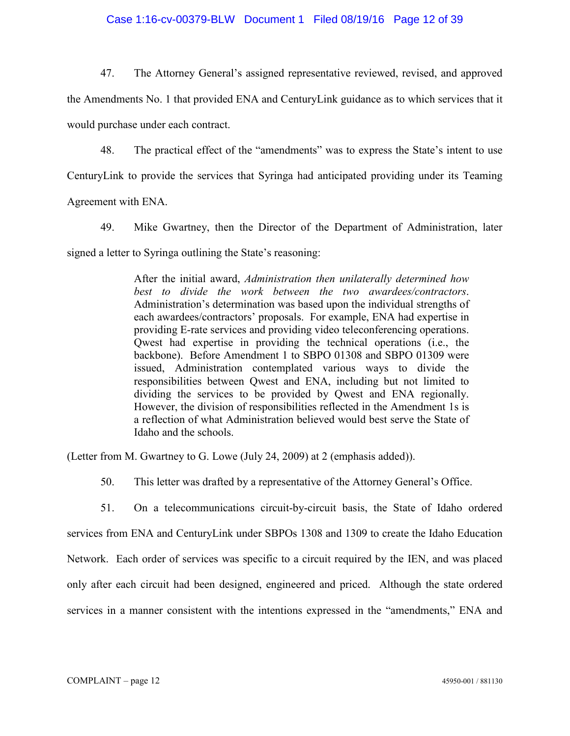## Case 1:16-cv-00379-BLW Document 1 Filed 08/19/16 Page 12 of 39

47. The Attorney General's assigned representative reviewed, revised, and approved

the Amendments No. 1 that provided ENA and CenturyLink guidance as to which services that it would purchase under each contract.

48. The practical effect of the "amendments" was to express the State's intent to use

CenturyLink to provide the services that Syringa had anticipated providing under its Teaming

Agreement with ENA.

49. Mike Gwartney, then the Director of the Department of Administration, later

signed a letter to Syringa outlining the State's reasoning:

After the initial award, *Administration then unilaterally determined how best to divide the work between the two awardees/contractors*. Administration's determination was based upon the individual strengths of each awardees/contractors' proposals. For example, ENA had expertise in providing E-rate services and providing video teleconferencing operations. Qwest had expertise in providing the technical operations (i.e., the backbone). Before Amendment 1 to SBPO 01308 and SBPO 01309 were issued, Administration contemplated various ways to divide the responsibilities between Qwest and ENA, including but not limited to dividing the services to be provided by Qwest and ENA regionally. However, the division of responsibilities reflected in the Amendment 1s is a reflection of what Administration believed would best serve the State of Idaho and the schools.

(Letter from M. Gwartney to G. Lowe (July 24, 2009) at 2 (emphasis added)).

50. This letter was drafted by a representative of the Attorney General's Office.

51. On a telecommunications circuit-by-circuit basis, the State of Idaho ordered services from ENA and CenturyLink under SBPOs 1308 and 1309 to create the Idaho Education Network. Each order of services was specific to a circuit required by the IEN, and was placed only after each circuit had been designed, engineered and priced. Although the state ordered services in a manner consistent with the intentions expressed in the "amendments," ENA and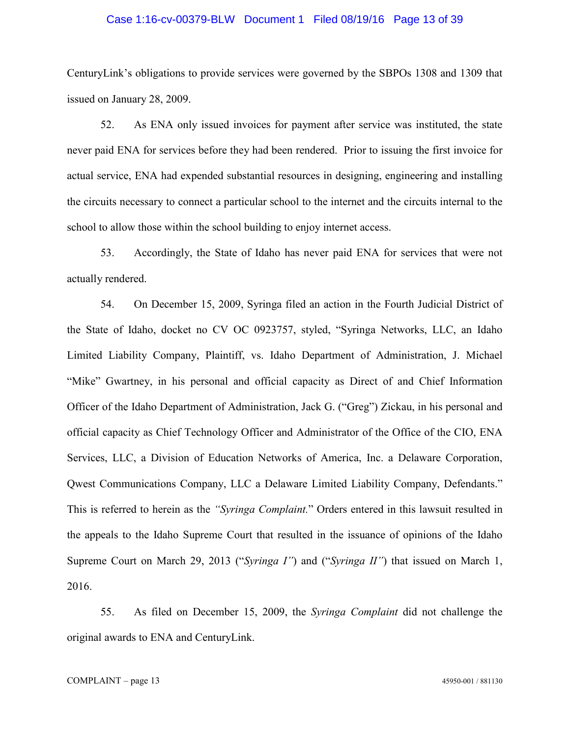## Case 1:16-cv-00379-BLW Document 1 Filed 08/19/16 Page 13 of 39

CenturyLink's obligations to provide services were governed by the SBPOs 1308 and 1309 that issued on January 28, 2009.

52. As ENA only issued invoices for payment after service was instituted, the state never paid ENA for services before they had been rendered. Prior to issuing the first invoice for actual service, ENA had expended substantial resources in designing, engineering and installing the circuits necessary to connect a particular school to the internet and the circuits internal to the school to allow those within the school building to enjoy internet access.

53. Accordingly, the State of Idaho has never paid ENA for services that were not actually rendered.

54. On December 15, 2009, Syringa filed an action in the Fourth Judicial District of the State of Idaho, docket no CV OC 0923757, styled, "Syringa Networks, LLC, an Idaho Limited Liability Company, Plaintiff, vs. Idaho Department of Administration, J. Michael "Mike" Gwartney, in his personal and official capacity as Direct of and Chief Information Officer of the Idaho Department of Administration, Jack G. ("Greg") Zickau, in his personal and official capacity as Chief Technology Officer and Administrator of the Office of the CIO, ENA Services, LLC, a Division of Education Networks of America, Inc. a Delaware Corporation, Qwest Communications Company, LLC a Delaware Limited Liability Company, Defendants." This is referred to herein as the *"Syringa Complaint.*" Orders entered in this lawsuit resulted in the appeals to the Idaho Supreme Court that resulted in the issuance of opinions of the Idaho Supreme Court on March 29, 2013 ("*Syringa I"*) and ("*Syringa II"*) that issued on March 1, 2016.

55. As filed on December 15, 2009, the *Syringa Complaint* did not challenge the original awards to ENA and CenturyLink.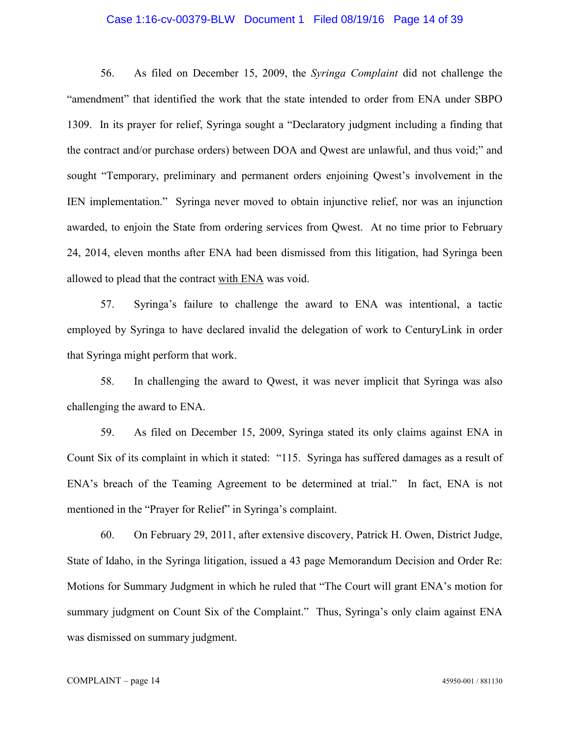## Case 1:16-cv-00379-BLW Document 1 Filed 08/19/16 Page 14 of 39

56. As filed on December 15, 2009, the *Syringa Complaint* did not challenge the "amendment" that identified the work that the state intended to order from ENA under SBPO 1309. In its prayer for relief, Syringa sought a "Declaratory judgment including a finding that the contract and/or purchase orders) between DOA and Qwest are unlawful, and thus void;" and sought "Temporary, preliminary and permanent orders enjoining Qwest's involvement in the IEN implementation." Syringa never moved to obtain injunctive relief, nor was an injunction awarded, to enjoin the State from ordering services from Qwest. At no time prior to February 24, 2014, eleven months after ENA had been dismissed from this litigation, had Syringa been allowed to plead that the contract with ENA was void.

57. Syringa's failure to challenge the award to ENA was intentional, a tactic employed by Syringa to have declared invalid the delegation of work to CenturyLink in order that Syringa might perform that work.

58. In challenging the award to Qwest, it was never implicit that Syringa was also challenging the award to ENA.

59. As filed on December 15, 2009, Syringa stated its only claims against ENA in Count Six of its complaint in which it stated: "115. Syringa has suffered damages as a result of ENA's breach of the Teaming Agreement to be determined at trial." In fact, ENA is not mentioned in the "Prayer for Relief" in Syringa's complaint.

60. On February 29, 2011, after extensive discovery, Patrick H. Owen, District Judge, State of Idaho, in the Syringa litigation, issued a 43 page Memorandum Decision and Order Re: Motions for Summary Judgment in which he ruled that "The Court will grant ENA's motion for summary judgment on Count Six of the Complaint." Thus, Syringa's only claim against ENA was dismissed on summary judgment.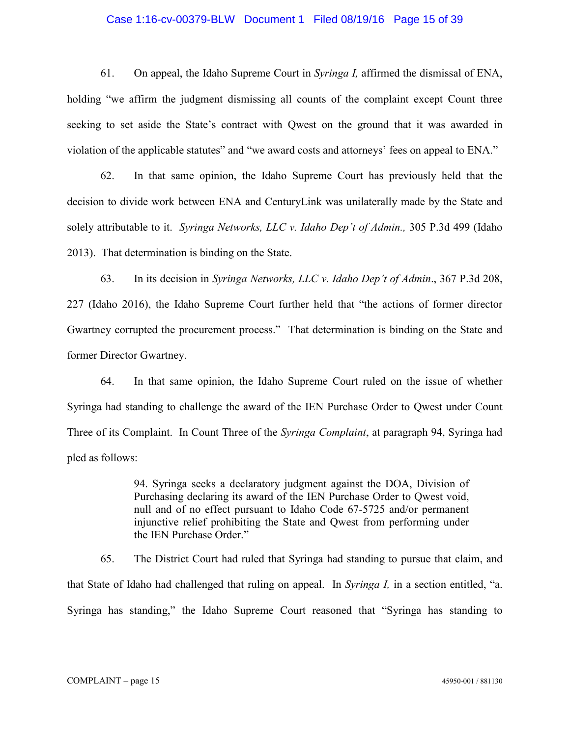## Case 1:16-cv-00379-BLW Document 1 Filed 08/19/16 Page 15 of 39

61. On appeal, the Idaho Supreme Court in *Syringa I,* affirmed the dismissal of ENA, holding "we affirm the judgment dismissing all counts of the complaint except Count three seeking to set aside the State's contract with Qwest on the ground that it was awarded in violation of the applicable statutes" and "we award costs and attorneys' fees on appeal to ENA."

62. In that same opinion, the Idaho Supreme Court has previously held that the decision to divide work between ENA and CenturyLink was unilaterally made by the State and solely attributable to it. *Syringa Networks, LLC v. Idaho Dep't of Admin.,* 305 P.3d 499 (Idaho 2013). That determination is binding on the State.

63. In its decision in *Syringa Networks, LLC v. Idaho Dep't of Admin*., 367 P.3d 208, 227 (Idaho 2016), the Idaho Supreme Court further held that "the actions of former director Gwartney corrupted the procurement process." That determination is binding on the State and former Director Gwartney.

64. In that same opinion, the Idaho Supreme Court ruled on the issue of whether Syringa had standing to challenge the award of the IEN Purchase Order to Qwest under Count Three of its Complaint. In Count Three of the *Syringa Complaint*, at paragraph 94, Syringa had pled as follows:

> 94. Syringa seeks a declaratory judgment against the DOA, Division of Purchasing declaring its award of the IEN Purchase Order to Qwest void, null and of no effect pursuant to Idaho Code 67-5725 and/or permanent injunctive relief prohibiting the State and Qwest from performing under the IEN Purchase Order."

65. The District Court had ruled that Syringa had standing to pursue that claim, and that State of Idaho had challenged that ruling on appeal. In *Syringa I,* in a section entitled, "a. Syringa has standing," the Idaho Supreme Court reasoned that "Syringa has standing to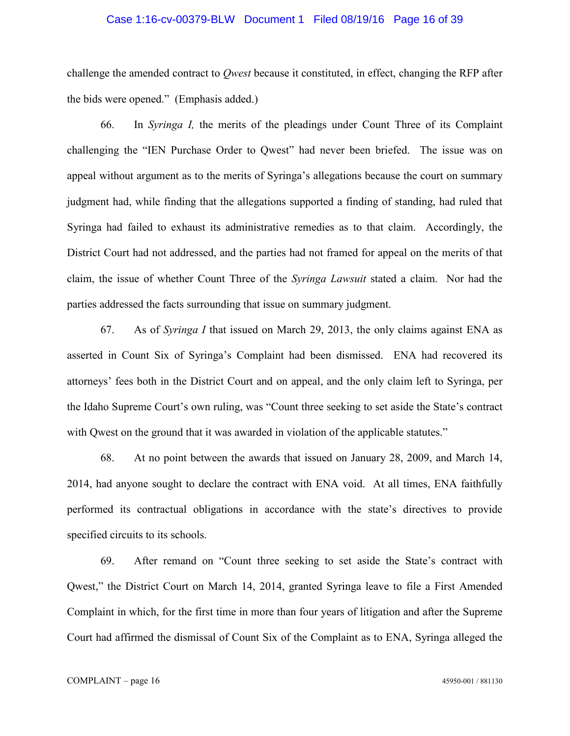## Case 1:16-cv-00379-BLW Document 1 Filed 08/19/16 Page 16 of 39

challenge the amended contract to *Qwest* because it constituted, in effect, changing the RFP after the bids were opened." (Emphasis added.)

66. In *Syringa I,* the merits of the pleadings under Count Three of its Complaint challenging the "IEN Purchase Order to Qwest" had never been briefed. The issue was on appeal without argument as to the merits of Syringa's allegations because the court on summary judgment had, while finding that the allegations supported a finding of standing, had ruled that Syringa had failed to exhaust its administrative remedies as to that claim. Accordingly, the District Court had not addressed, and the parties had not framed for appeal on the merits of that claim, the issue of whether Count Three of the *Syringa Lawsuit* stated a claim. Nor had the parties addressed the facts surrounding that issue on summary judgment.

67. As of *Syringa I* that issued on March 29, 2013, the only claims against ENA as asserted in Count Six of Syringa's Complaint had been dismissed. ENA had recovered its attorneys' fees both in the District Court and on appeal, and the only claim left to Syringa, per the Idaho Supreme Court's own ruling, was "Count three seeking to set aside the State's contract with Qwest on the ground that it was awarded in violation of the applicable statutes."

68. At no point between the awards that issued on January 28, 2009, and March 14, 2014, had anyone sought to declare the contract with ENA void. At all times, ENA faithfully performed its contractual obligations in accordance with the state's directives to provide specified circuits to its schools.

69. After remand on "Count three seeking to set aside the State's contract with Qwest," the District Court on March 14, 2014, granted Syringa leave to file a First Amended Complaint in which, for the first time in more than four years of litigation and after the Supreme Court had affirmed the dismissal of Count Six of the Complaint as to ENA, Syringa alleged the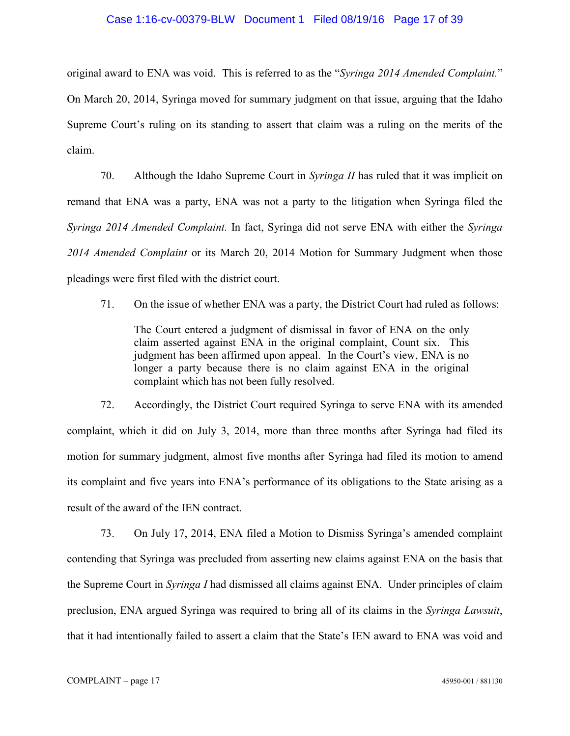## Case 1:16-cv-00379-BLW Document 1 Filed 08/19/16 Page 17 of 39

original award to ENA was void. This is referred to as the "*Syringa 2014 Amended Complaint.*" On March 20, 2014, Syringa moved for summary judgment on that issue, arguing that the Idaho Supreme Court's ruling on its standing to assert that claim was a ruling on the merits of the claim.

70. Although the Idaho Supreme Court in *Syringa II* has ruled that it was implicit on remand that ENA was a party, ENA was not a party to the litigation when Syringa filed the *Syringa 2014 Amended Complaint.* In fact, Syringa did not serve ENA with either the *Syringa 2014 Amended Complaint* or its March 20, 2014 Motion for Summary Judgment when those pleadings were first filed with the district court.

71. On the issue of whether ENA was a party, the District Court had ruled as follows:

The Court entered a judgment of dismissal in favor of ENA on the only claim asserted against ENA in the original complaint, Count six. This judgment has been affirmed upon appeal. In the Court's view, ENA is no longer a party because there is no claim against ENA in the original complaint which has not been fully resolved.

72. Accordingly, the District Court required Syringa to serve ENA with its amended complaint, which it did on July 3, 2014, more than three months after Syringa had filed its motion for summary judgment, almost five months after Syringa had filed its motion to amend its complaint and five years into ENA's performance of its obligations to the State arising as a result of the award of the IEN contract.

73. On July 17, 2014, ENA filed a Motion to Dismiss Syringa's amended complaint contending that Syringa was precluded from asserting new claims against ENA on the basis that the Supreme Court in *Syringa I* had dismissed all claims against ENA. Under principles of claim preclusion, ENA argued Syringa was required to bring all of its claims in the *Syringa Lawsuit*, that it had intentionally failed to assert a claim that the State's IEN award to ENA was void and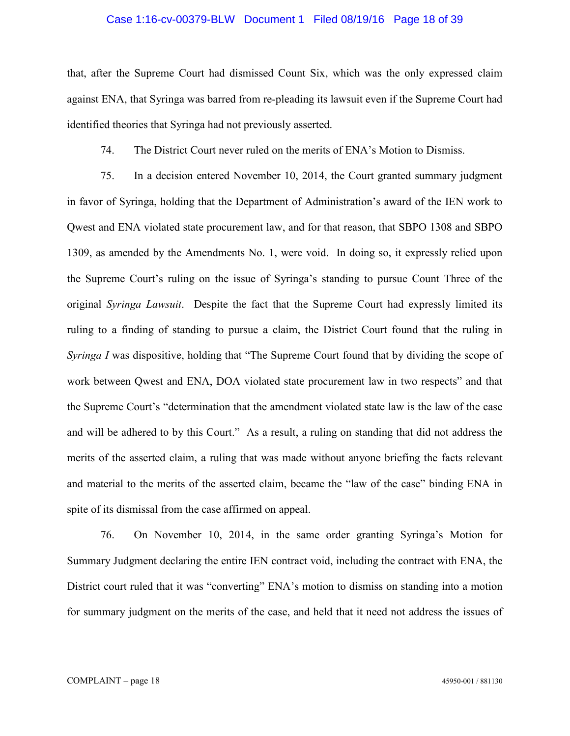## Case 1:16-cv-00379-BLW Document 1 Filed 08/19/16 Page 18 of 39

that, after the Supreme Court had dismissed Count Six, which was the only expressed claim against ENA, that Syringa was barred from re-pleading its lawsuit even if the Supreme Court had identified theories that Syringa had not previously asserted.

74. The District Court never ruled on the merits of ENA's Motion to Dismiss.

75. In a decision entered November 10, 2014, the Court granted summary judgment in favor of Syringa, holding that the Department of Administration's award of the IEN work to Qwest and ENA violated state procurement law, and for that reason, that SBPO 1308 and SBPO 1309, as amended by the Amendments No. 1, were void. In doing so, it expressly relied upon the Supreme Court's ruling on the issue of Syringa's standing to pursue Count Three of the original *Syringa Lawsuit*. Despite the fact that the Supreme Court had expressly limited its ruling to a finding of standing to pursue a claim, the District Court found that the ruling in *Syringa I* was dispositive, holding that "The Supreme Court found that by dividing the scope of work between Qwest and ENA, DOA violated state procurement law in two respects" and that the Supreme Court's "determination that the amendment violated state law is the law of the case and will be adhered to by this Court." As a result, a ruling on standing that did not address the merits of the asserted claim, a ruling that was made without anyone briefing the facts relevant and material to the merits of the asserted claim, became the "law of the case" binding ENA in spite of its dismissal from the case affirmed on appeal.

76. On November 10, 2014, in the same order granting Syringa's Motion for Summary Judgment declaring the entire IEN contract void, including the contract with ENA, the District court ruled that it was "converting" ENA's motion to dismiss on standing into a motion for summary judgment on the merits of the case, and held that it need not address the issues of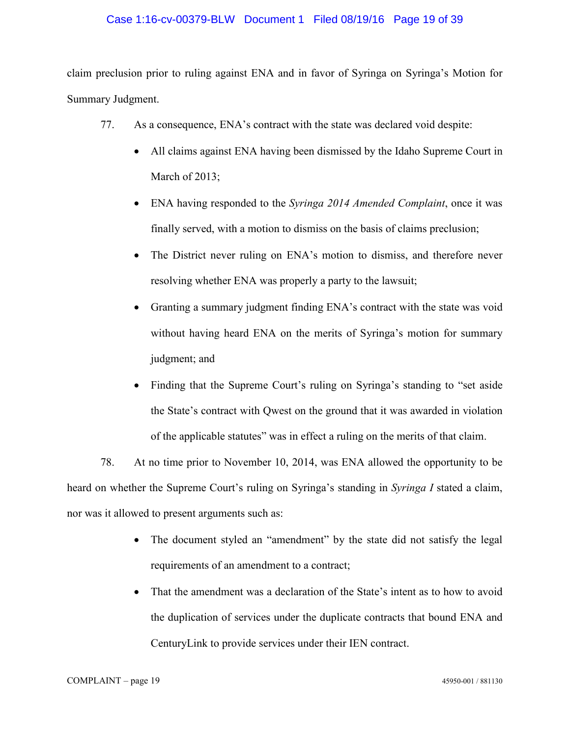## Case 1:16-cv-00379-BLW Document 1 Filed 08/19/16 Page 19 of 39

claim preclusion prior to ruling against ENA and in favor of Syringa on Syringa's Motion for Summary Judgment.

- 77. As a consequence, ENA's contract with the state was declared void despite:
	- All claims against ENA having been dismissed by the Idaho Supreme Court in March of 2013;
	- x ENA having responded to the *Syringa 2014 Amended Complaint*, once it was finally served, with a motion to dismiss on the basis of claims preclusion;
	- The District never ruling on ENA's motion to dismiss, and therefore never resolving whether ENA was properly a party to the lawsuit;
	- Granting a summary judgment finding ENA's contract with the state was void without having heard ENA on the merits of Syringa's motion for summary judgment; and
	- Finding that the Supreme Court's ruling on Syringa's standing to "set aside" the State's contract with Qwest on the ground that it was awarded in violation of the applicable statutes" was in effect a ruling on the merits of that claim.

78. At no time prior to November 10, 2014, was ENA allowed the opportunity to be heard on whether the Supreme Court's ruling on Syringa's standing in *Syringa I* stated a claim, nor was it allowed to present arguments such as:

- The document styled an "amendment" by the state did not satisfy the legal requirements of an amendment to a contract;
- That the amendment was a declaration of the State's intent as to how to avoid the duplication of services under the duplicate contracts that bound ENA and CenturyLink to provide services under their IEN contract.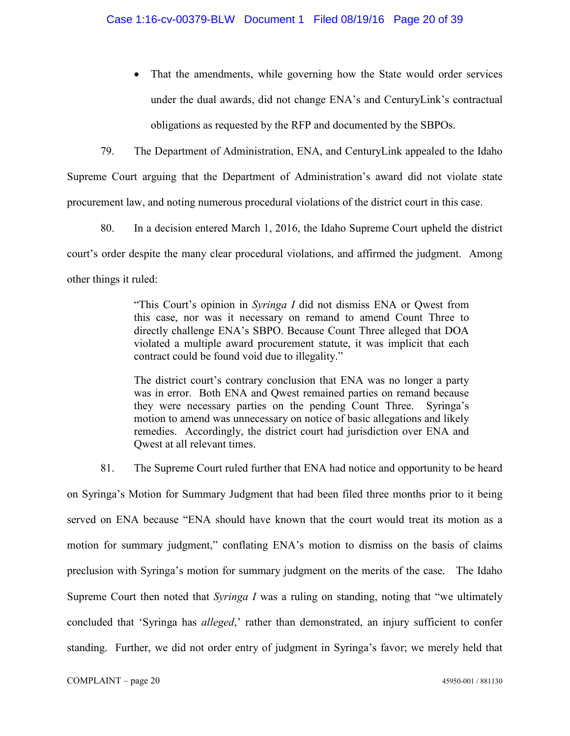• That the amendments, while governing how the State would order services under the dual awards, did not change ENA's and CenturyLink's contractual obligations as requested by the RFP and documented by the SBPOs.

79. The Department of Administration, ENA, and CenturyLink appealed to the Idaho Supreme Court arguing that the Department of Administration's award did not violate state procurement law, and noting numerous procedural violations of the district court in this case.

80. In a decision entered March 1, 2016, the Idaho Supreme Court upheld the district court's order despite the many clear procedural violations, and affirmed the judgment. Among other things it ruled:

> "This Court's opinion in *Syringa I* did not dismiss ENA or Qwest from this case, nor was it necessary on remand to amend Count Three to directly challenge ENA's SBPO. Because Count Three alleged that DOA violated a multiple award procurement statute, it was implicit that each contract could be found void due to illegality."

> The district court's contrary conclusion that ENA was no longer a party was in error. Both ENA and Qwest remained parties on remand because they were necessary parties on the pending Count Three. Syringa's motion to amend was unnecessary on notice of basic allegations and likely remedies. Accordingly, the district court had jurisdiction over ENA and Qwest at all relevant times.

81. The Supreme Court ruled further that ENA had notice and opportunity to be heard

on Syringa's Motion for Summary Judgment that had been filed three months prior to it being served on ENA because "ENA should have known that the court would treat its motion as a motion for summary judgment," conflating ENA's motion to dismiss on the basis of claims preclusion with Syringa's motion for summary judgment on the merits of the case. The Idaho Supreme Court then noted that *Syringa I* was a ruling on standing, noting that "we ultimately concluded that 'Syringa has *alleged*,' rather than demonstrated, an injury sufficient to confer standing. Further, we did not order entry of judgment in Syringa's favor; we merely held that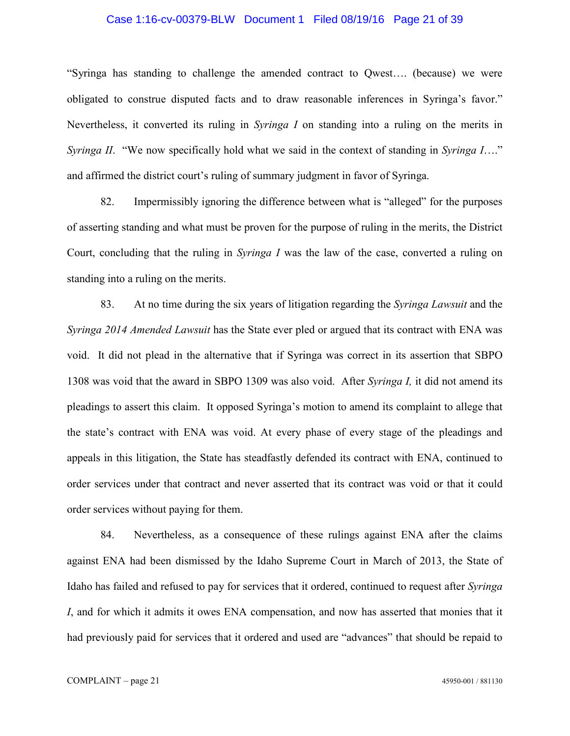## Case 1:16-cv-00379-BLW Document 1 Filed 08/19/16 Page 21 of 39

"Syringa has standing to challenge the amended contract to Qwest…. (because) we were obligated to construe disputed facts and to draw reasonable inferences in Syringa's favor." Nevertheless, it converted its ruling in *Syringa I* on standing into a ruling on the merits in *Syringa II*. "We now specifically hold what we said in the context of standing in *Syringa I*…." and affirmed the district court's ruling of summary judgment in favor of Syringa.

82. Impermissibly ignoring the difference between what is "alleged" for the purposes of asserting standing and what must be proven for the purpose of ruling in the merits, the District Court, concluding that the ruling in *Syringa I* was the law of the case, converted a ruling on standing into a ruling on the merits.

83. At no time during the six years of litigation regarding the *Syringa Lawsuit* and the *Syringa 2014 Amended Lawsuit* has the State ever pled or argued that its contract with ENA was void. It did not plead in the alternative that if Syringa was correct in its assertion that SBPO 1308 was void that the award in SBPO 1309 was also void. After *Syringa I,* it did not amend its pleadings to assert this claim. It opposed Syringa's motion to amend its complaint to allege that the state's contract with ENA was void. At every phase of every stage of the pleadings and appeals in this litigation, the State has steadfastly defended its contract with ENA, continued to order services under that contract and never asserted that its contract was void or that it could order services without paying for them.

84. Nevertheless, as a consequence of these rulings against ENA after the claims against ENA had been dismissed by the Idaho Supreme Court in March of 2013, the State of Idaho has failed and refused to pay for services that it ordered, continued to request after *Syringa I*, and for which it admits it owes ENA compensation, and now has asserted that monies that it had previously paid for services that it ordered and used are "advances" that should be repaid to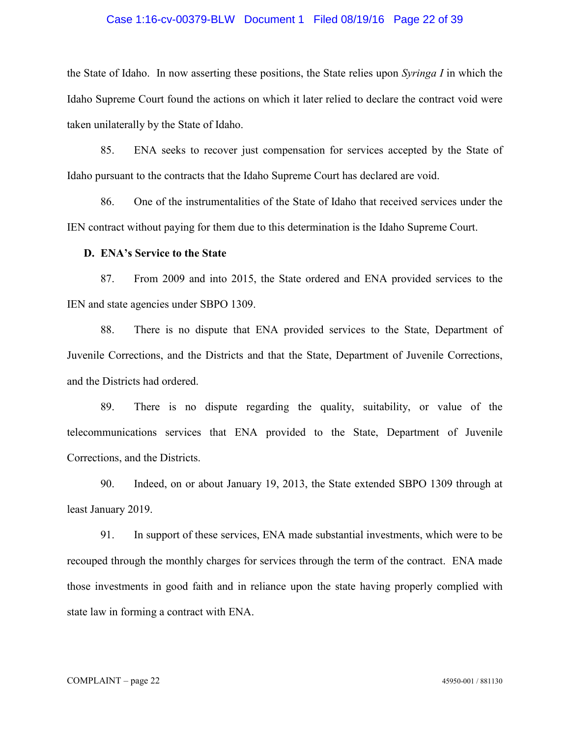## Case 1:16-cv-00379-BLW Document 1 Filed 08/19/16 Page 22 of 39

the State of Idaho. In now asserting these positions, the State relies upon *Syringa I* in which the Idaho Supreme Court found the actions on which it later relied to declare the contract void were taken unilaterally by the State of Idaho.

85. ENA seeks to recover just compensation for services accepted by the State of Idaho pursuant to the contracts that the Idaho Supreme Court has declared are void.

86. One of the instrumentalities of the State of Idaho that received services under the IEN contract without paying for them due to this determination is the Idaho Supreme Court.

## **D. ENA's Service to the State**

87. From 2009 and into 2015, the State ordered and ENA provided services to the IEN and state agencies under SBPO 1309.

88. There is no dispute that ENA provided services to the State, Department of Juvenile Corrections, and the Districts and that the State, Department of Juvenile Corrections, and the Districts had ordered.

89. There is no dispute regarding the quality, suitability, or value of the telecommunications services that ENA provided to the State, Department of Juvenile Corrections, and the Districts.

90. Indeed, on or about January 19, 2013, the State extended SBPO 1309 through at least January 2019.

91. In support of these services, ENA made substantial investments, which were to be recouped through the monthly charges for services through the term of the contract. ENA made those investments in good faith and in reliance upon the state having properly complied with state law in forming a contract with ENA.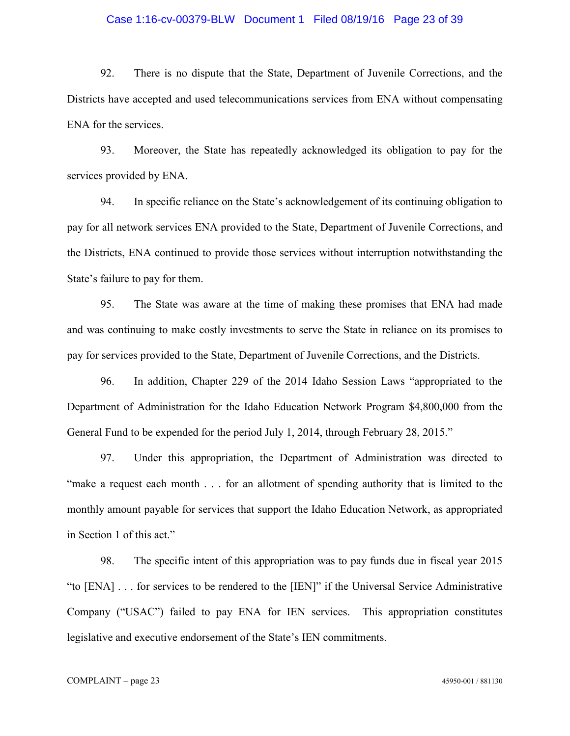## Case 1:16-cv-00379-BLW Document 1 Filed 08/19/16 Page 23 of 39

92. There is no dispute that the State, Department of Juvenile Corrections, and the Districts have accepted and used telecommunications services from ENA without compensating ENA for the services.

93. Moreover, the State has repeatedly acknowledged its obligation to pay for the services provided by ENA.

94. In specific reliance on the State's acknowledgement of its continuing obligation to pay for all network services ENA provided to the State, Department of Juvenile Corrections, and the Districts, ENA continued to provide those services without interruption notwithstanding the State's failure to pay for them.

95. The State was aware at the time of making these promises that ENA had made and was continuing to make costly investments to serve the State in reliance on its promises to pay for services provided to the State, Department of Juvenile Corrections, and the Districts.

96. In addition, Chapter 229 of the 2014 Idaho Session Laws "appropriated to the Department of Administration for the Idaho Education Network Program \$4,800,000 from the General Fund to be expended for the period July 1, 2014, through February 28, 2015."

97. Under this appropriation, the Department of Administration was directed to "make a request each month . . . for an allotment of spending authority that is limited to the monthly amount payable for services that support the Idaho Education Network, as appropriated in Section 1 of this act."

98. The specific intent of this appropriation was to pay funds due in fiscal year 2015 "to [ENA] . . . for services to be rendered to the [IEN]" if the Universal Service Administrative Company ("USAC") failed to pay ENA for IEN services. This appropriation constitutes legislative and executive endorsement of the State's IEN commitments.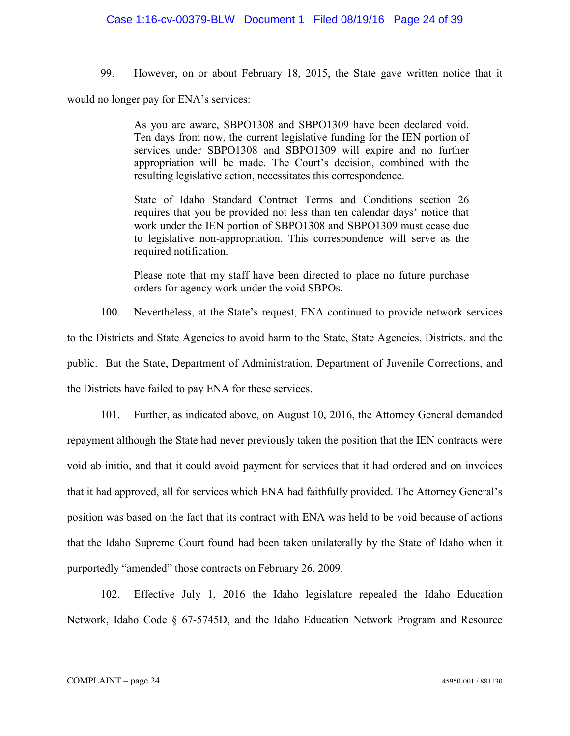## Case 1:16-cv-00379-BLW Document 1 Filed 08/19/16 Page 24 of 39

99. However, on or about February 18, 2015, the State gave written notice that it

would no longer pay for ENA's services:

As you are aware, SBPO1308 and SBPO1309 have been declared void. Ten days from now, the current legislative funding for the IEN portion of services under SBPO1308 and SBPO1309 will expire and no further appropriation will be made. The Court's decision, combined with the resulting legislative action, necessitates this correspondence.

State of Idaho Standard Contract Terms and Conditions section 26 requires that you be provided not less than ten calendar days' notice that work under the IEN portion of SBPO1308 and SBPO1309 must cease due to legislative non-appropriation. This correspondence will serve as the required notification.

Please note that my staff have been directed to place no future purchase orders for agency work under the void SBPOs.

100. Nevertheless, at the State's request, ENA continued to provide network services to the Districts and State Agencies to avoid harm to the State, State Agencies, Districts, and the public. But the State, Department of Administration, Department of Juvenile Corrections, and

the Districts have failed to pay ENA for these services.

101. Further, as indicated above, on August 10, 2016, the Attorney General demanded repayment although the State had never previously taken the position that the IEN contracts were void ab initio, and that it could avoid payment for services that it had ordered and on invoices that it had approved, all for services which ENA had faithfully provided. The Attorney General's position was based on the fact that its contract with ENA was held to be void because of actions that the Idaho Supreme Court found had been taken unilaterally by the State of Idaho when it purportedly "amended" those contracts on February 26, 2009.

102. Effective July 1, 2016 the Idaho legislature repealed the Idaho Education Network, Idaho Code § 67-5745D, and the Idaho Education Network Program and Resource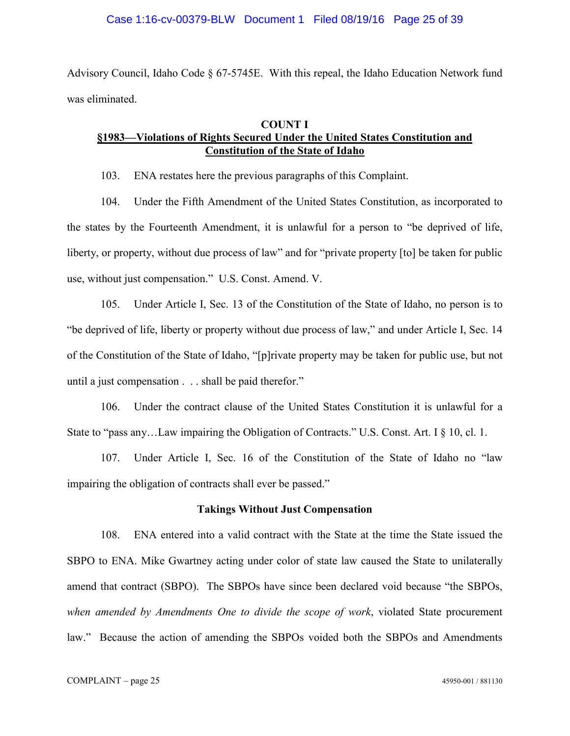Advisory Council, Idaho Code § 67-5745E. With this repeal, the Idaho Education Network fund was eliminated.

## **COUNT I**

# **§1983—Violations of Rights Secured Under the United States Constitution and Constitution of the State of Idaho**

103. ENA restates here the previous paragraphs of this Complaint.

104. Under the Fifth Amendment of the United States Constitution, as incorporated to the states by the Fourteenth Amendment, it is unlawful for a person to "be deprived of life, liberty, or property, without due process of law" and for "private property [to] be taken for public use, without just compensation." U.S. Const. Amend. V.

105. Under Article I, Sec. 13 of the Constitution of the State of Idaho, no person is to "be deprived of life, liberty or property without due process of law," and under Article I, Sec. 14 of the Constitution of the State of Idaho, "[p]rivate property may be taken for public use, but not until a just compensation . . . shall be paid therefor."

106. Under the contract clause of the United States Constitution it is unlawful for a State to "pass any...Law impairing the Obligation of Contracts." U.S. Const. Art. I § 10, cl. 1.

107. Under Article I, Sec. 16 of the Constitution of the State of Idaho no "law impairing the obligation of contracts shall ever be passed."

## **Takings Without Just Compensation**

108. ENA entered into a valid contract with the State at the time the State issued the SBPO to ENA. Mike Gwartney acting under color of state law caused the State to unilaterally amend that contract (SBPO). The SBPOs have since been declared void because "the SBPOs, *when amended by Amendments One to divide the scope of work*, violated State procurement law." Because the action of amending the SBPOs voided both the SBPOs and Amendments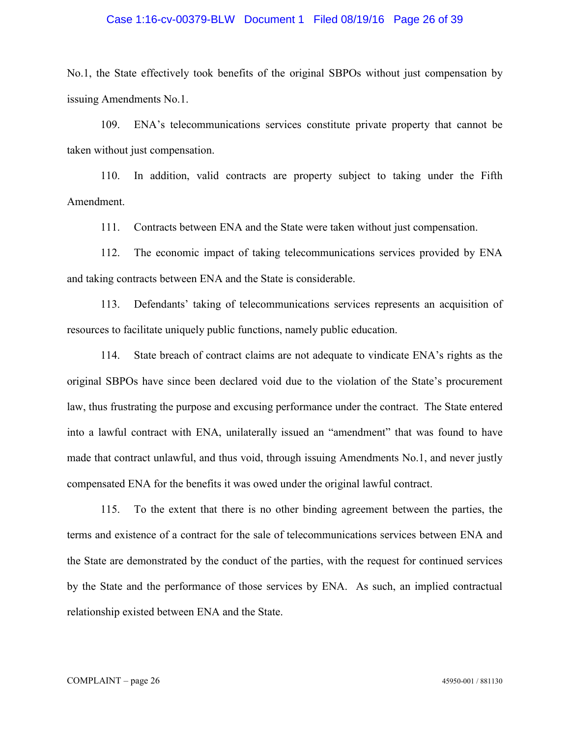## Case 1:16-cv-00379-BLW Document 1 Filed 08/19/16 Page 26 of 39

No.1, the State effectively took benefits of the original SBPOs without just compensation by issuing Amendments No.1.

109. ENA's telecommunications services constitute private property that cannot be taken without just compensation.

110. In addition, valid contracts are property subject to taking under the Fifth Amendment.

111. Contracts between ENA and the State were taken without just compensation.

112. The economic impact of taking telecommunications services provided by ENA and taking contracts between ENA and the State is considerable.

113. Defendants' taking of telecommunications services represents an acquisition of resources to facilitate uniquely public functions, namely public education.

114. State breach of contract claims are not adequate to vindicate ENA's rights as the original SBPOs have since been declared void due to the violation of the State's procurement law, thus frustrating the purpose and excusing performance under the contract. The State entered into a lawful contract with ENA, unilaterally issued an "amendment" that was found to have made that contract unlawful, and thus void, through issuing Amendments No.1, and never justly compensated ENA for the benefits it was owed under the original lawful contract.

115. To the extent that there is no other binding agreement between the parties, the terms and existence of a contract for the sale of telecommunications services between ENA and the State are demonstrated by the conduct of the parties, with the request for continued services by the State and the performance of those services by ENA. As such, an implied contractual relationship existed between ENA and the State.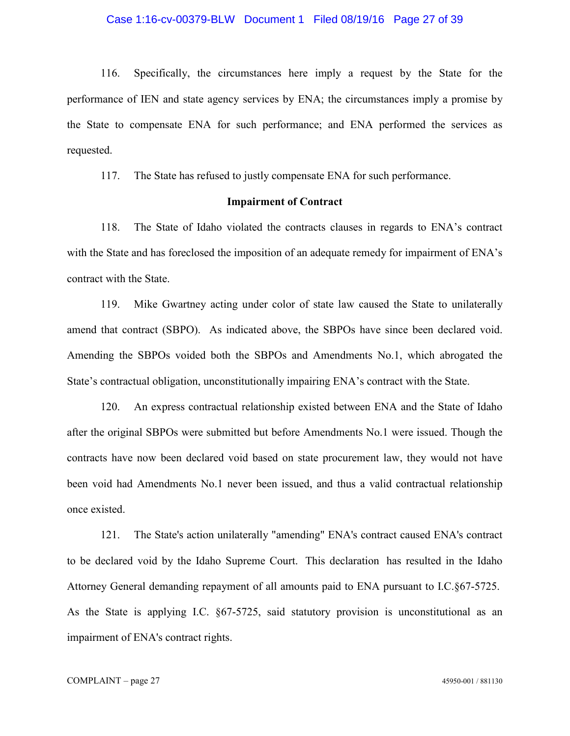## Case 1:16-cv-00379-BLW Document 1 Filed 08/19/16 Page 27 of 39

116. Specifically, the circumstances here imply a request by the State for the performance of IEN and state agency services by ENA; the circumstances imply a promise by the State to compensate ENA for such performance; and ENA performed the services as requested.

117. The State has refused to justly compensate ENA for such performance.

## **Impairment of Contract**

118. The State of Idaho violated the contracts clauses in regards to ENA's contract with the State and has foreclosed the imposition of an adequate remedy for impairment of ENA's contract with the State.

119. Mike Gwartney acting under color of state law caused the State to unilaterally amend that contract (SBPO). As indicated above, the SBPOs have since been declared void. Amending the SBPOs voided both the SBPOs and Amendments No.1, which abrogated the State's contractual obligation, unconstitutionally impairing ENA's contract with the State.

120. An express contractual relationship existed between ENA and the State of Idaho after the original SBPOs were submitted but before Amendments No.1 were issued. Though the contracts have now been declared void based on state procurement law, they would not have been void had Amendments No.1 never been issued, and thus a valid contractual relationship once existed.

121. The State's action unilaterally "amending" ENA's contract caused ENA's contract to be declared void by the Idaho Supreme Court. This declaration has resulted in the Idaho Attorney General demanding repayment of all amounts paid to ENA pursuant to I.C.§67-5725. As the State is applying I.C. §67-5725, said statutory provision is unconstitutional as an impairment of ENA's contract rights.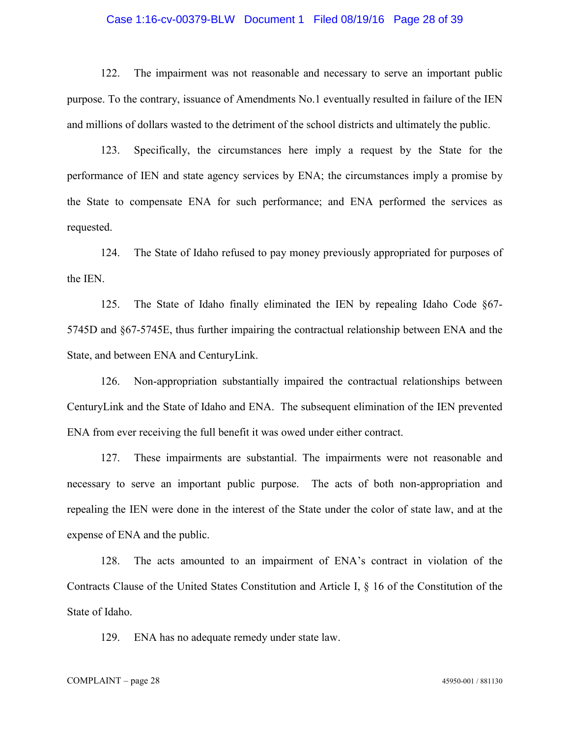## Case 1:16-cv-00379-BLW Document 1 Filed 08/19/16 Page 28 of 39

122. The impairment was not reasonable and necessary to serve an important public purpose. To the contrary, issuance of Amendments No.1 eventually resulted in failure of the IEN and millions of dollars wasted to the detriment of the school districts and ultimately the public.

123. Specifically, the circumstances here imply a request by the State for the performance of IEN and state agency services by ENA; the circumstances imply a promise by the State to compensate ENA for such performance; and ENA performed the services as requested.

124. The State of Idaho refused to pay money previously appropriated for purposes of the IEN.

125. The State of Idaho finally eliminated the IEN by repealing Idaho Code §67- 5745D and §67-5745E, thus further impairing the contractual relationship between ENA and the State, and between ENA and CenturyLink.

126. Non-appropriation substantially impaired the contractual relationships between CenturyLink and the State of Idaho and ENA. The subsequent elimination of the IEN prevented ENA from ever receiving the full benefit it was owed under either contract.

127. These impairments are substantial. The impairments were not reasonable and necessary to serve an important public purpose. The acts of both non-appropriation and repealing the IEN were done in the interest of the State under the color of state law, and at the expense of ENA and the public.

128. The acts amounted to an impairment of ENA's contract in violation of the Contracts Clause of the United States Constitution and Article I, § 16 of the Constitution of the State of Idaho.

129. ENA has no adequate remedy under state law.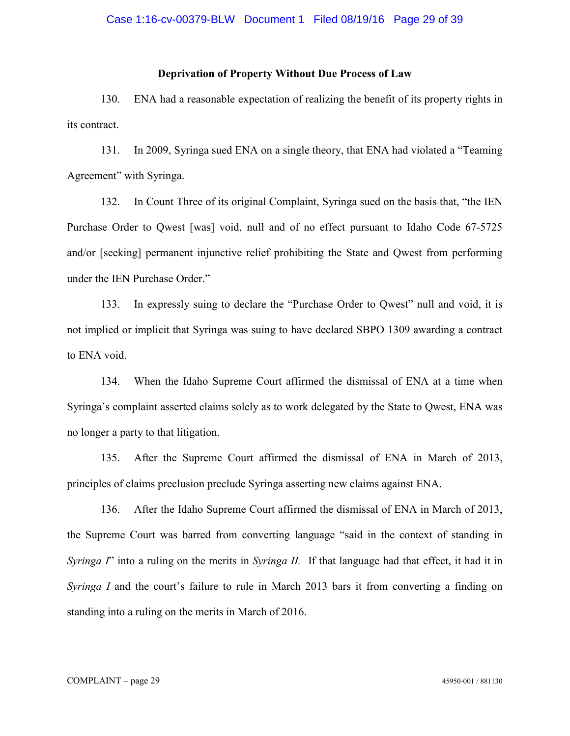## **Deprivation of Property Without Due Process of Law**

130. ENA had a reasonable expectation of realizing the benefit of its property rights in its contract.

131. In 2009, Syringa sued ENA on a single theory, that ENA had violated a "Teaming Agreement" with Syringa.

132. In Count Three of its original Complaint, Syringa sued on the basis that, "the IEN Purchase Order to Qwest [was] void, null and of no effect pursuant to Idaho Code 67-5725 and/or [seeking] permanent injunctive relief prohibiting the State and Qwest from performing under the IEN Purchase Order."

133. In expressly suing to declare the "Purchase Order to Qwest" null and void, it is not implied or implicit that Syringa was suing to have declared SBPO 1309 awarding a contract to ENA void.

134. When the Idaho Supreme Court affirmed the dismissal of ENA at a time when Syringa's complaint asserted claims solely as to work delegated by the State to Qwest, ENA was no longer a party to that litigation.

135. After the Supreme Court affirmed the dismissal of ENA in March of 2013, principles of claims preclusion preclude Syringa asserting new claims against ENA.

136. After the Idaho Supreme Court affirmed the dismissal of ENA in March of 2013, the Supreme Court was barred from converting language "said in the context of standing in *Syringa I*" into a ruling on the merits in *Syringa II.* If that language had that effect, it had it in *Syringa I* and the court's failure to rule in March 2013 bars it from converting a finding on standing into a ruling on the merits in March of 2016.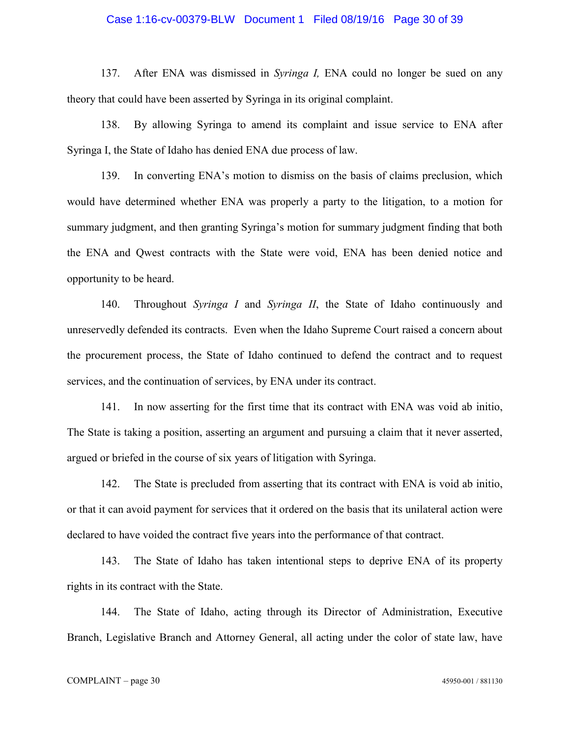## Case 1:16-cv-00379-BLW Document 1 Filed 08/19/16 Page 30 of 39

137. After ENA was dismissed in *Syringa I,* ENA could no longer be sued on any theory that could have been asserted by Syringa in its original complaint.

138. By allowing Syringa to amend its complaint and issue service to ENA after Syringa I, the State of Idaho has denied ENA due process of law.

139. In converting ENA's motion to dismiss on the basis of claims preclusion, which would have determined whether ENA was properly a party to the litigation, to a motion for summary judgment, and then granting Syringa's motion for summary judgment finding that both the ENA and Qwest contracts with the State were void, ENA has been denied notice and opportunity to be heard.

140. Throughout *Syringa I* and *Syringa II*, the State of Idaho continuously and unreservedly defended its contracts. Even when the Idaho Supreme Court raised a concern about the procurement process, the State of Idaho continued to defend the contract and to request services, and the continuation of services, by ENA under its contract.

141. In now asserting for the first time that its contract with ENA was void ab initio, The State is taking a position, asserting an argument and pursuing a claim that it never asserted, argued or briefed in the course of six years of litigation with Syringa.

142. The State is precluded from asserting that its contract with ENA is void ab initio, or that it can avoid payment for services that it ordered on the basis that its unilateral action were declared to have voided the contract five years into the performance of that contract.

143. The State of Idaho has taken intentional steps to deprive ENA of its property rights in its contract with the State.

144. The State of Idaho, acting through its Director of Administration, Executive Branch, Legislative Branch and Attorney General, all acting under the color of state law, have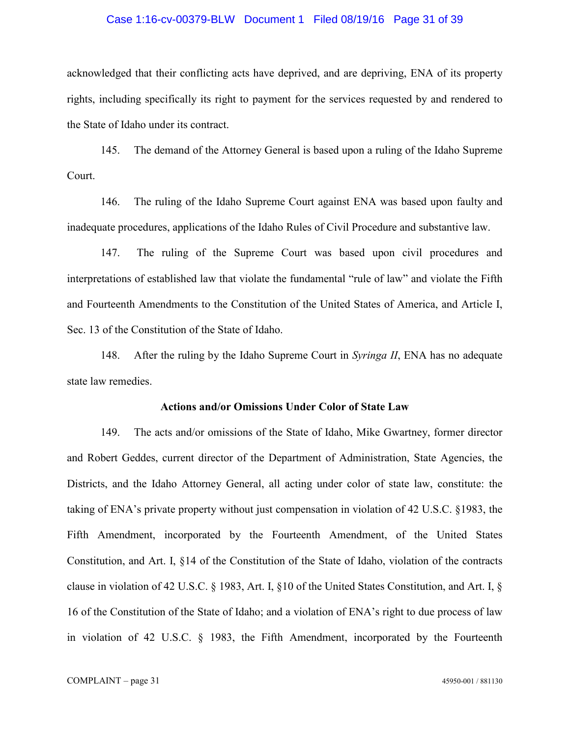## Case 1:16-cv-00379-BLW Document 1 Filed 08/19/16 Page 31 of 39

acknowledged that their conflicting acts have deprived, and are depriving, ENA of its property rights, including specifically its right to payment for the services requested by and rendered to the State of Idaho under its contract.

145. The demand of the Attorney General is based upon a ruling of the Idaho Supreme Court.

146. The ruling of the Idaho Supreme Court against ENA was based upon faulty and inadequate procedures, applications of the Idaho Rules of Civil Procedure and substantive law.

147. The ruling of the Supreme Court was based upon civil procedures and interpretations of established law that violate the fundamental "rule of law" and violate the Fifth and Fourteenth Amendments to the Constitution of the United States of America, and Article I, Sec. 13 of the Constitution of the State of Idaho.

148. After the ruling by the Idaho Supreme Court in *Syringa II*, ENA has no adequate state law remedies.

## **Actions and/or Omissions Under Color of State Law**

149. The acts and/or omissions of the State of Idaho, Mike Gwartney, former director and Robert Geddes, current director of the Department of Administration, State Agencies, the Districts, and the Idaho Attorney General, all acting under color of state law, constitute: the taking of ENA's private property without just compensation in violation of 42 U.S.C. §1983, the Fifth Amendment, incorporated by the Fourteenth Amendment, of the United States Constitution, and Art. I, §14 of the Constitution of the State of Idaho, violation of the contracts clause in violation of 42 U.S.C. § 1983, Art. I, §10 of the United States Constitution, and Art. I, § 16 of the Constitution of the State of Idaho; and a violation of ENA's right to due process of law in violation of 42 U.S.C. § 1983, the Fifth Amendment, incorporated by the Fourteenth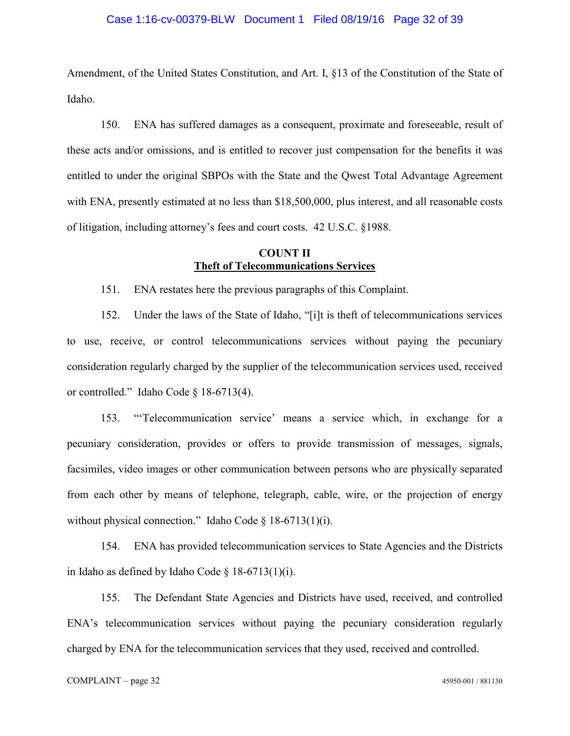## Case 1:16-cv-00379-BLW Document 1 Filed 08/19/16 Page 32 of 39

Amendment, of the United States Constitution, and Art. I, §13 of the Constitution of the State of Idaho.

150. ENA has suffered damages as a consequent, proximate and foreseeable, result of these acts and/or omissions, and is entitled to recover just compensation for the benefits it was entitled to under the original SBPOs with the State and the Qwest Total Advantage Agreement with ENA, presently estimated at no less than \$18,500,000, plus interest, and all reasonable costs of litigation, including attorney's fees and court costs. 42 U.S.C. §1988.

# **COUNT II Theft of Telecommunications Services**

151. ENA restates here the previous paragraphs of this Complaint.

152. Under the laws of the State of Idaho, "[i]t is theft of telecommunications services to use, receive, or control telecommunications services without paying the pecuniary consideration regularly charged by the supplier of the telecommunication services used, received or controlled." Idaho Code § 18-6713(4).

153. "'Telecommunication service' means a service which, in exchange for a pecuniary consideration, provides or offers to provide transmission of messages, signals, facsimiles, video images or other communication between persons who are physically separated from each other by means of telephone, telegraph, cable, wire, or the projection of energy without physical connection." Idaho Code § 18-6713(1)(i).

154. ENA has provided telecommunication services to State Agencies and the Districts in Idaho as defined by Idaho Code  $\S$  18-6713(1)(i).

155. The Defendant State Agencies and Districts have used, received, and controlled ENA's telecommunication services without paying the pecuniary consideration regularly charged by ENA for the telecommunication services that they used, received and controlled.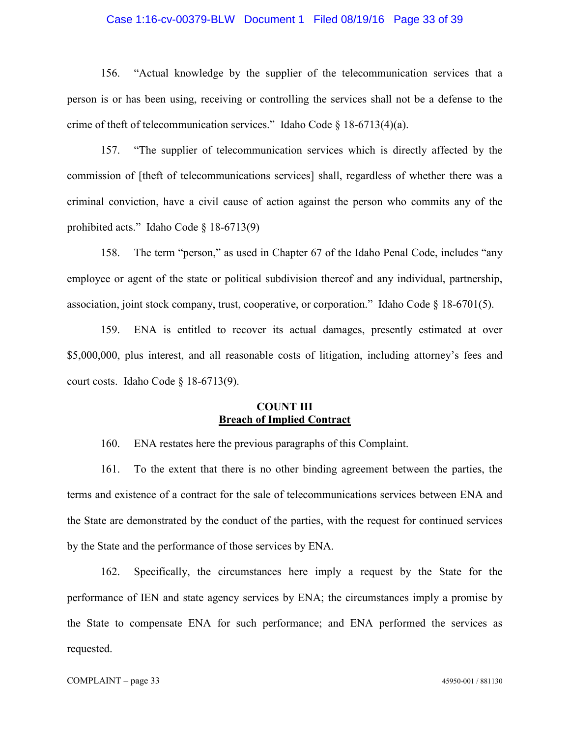## Case 1:16-cv-00379-BLW Document 1 Filed 08/19/16 Page 33 of 39

156. "Actual knowledge by the supplier of the telecommunication services that a person is or has been using, receiving or controlling the services shall not be a defense to the crime of theft of telecommunication services." Idaho Code § 18-6713(4)(a).

157. "The supplier of telecommunication services which is directly affected by the commission of [theft of telecommunications services] shall, regardless of whether there was a criminal conviction, have a civil cause of action against the person who commits any of the prohibited acts." Idaho Code § 18-6713(9)

158. The term "person," as used in Chapter 67 of the Idaho Penal Code, includes "any employee or agent of the state or political subdivision thereof and any individual, partnership, association, joint stock company, trust, cooperative, or corporation." Idaho Code § 18-6701(5).

159. ENA is entitled to recover its actual damages, presently estimated at over \$5,000,000, plus interest, and all reasonable costs of litigation, including attorney's fees and court costs. Idaho Code § 18-6713(9).

# **COUNT III Breach of Implied Contract**

160. ENA restates here the previous paragraphs of this Complaint.

161. To the extent that there is no other binding agreement between the parties, the terms and existence of a contract for the sale of telecommunications services between ENA and the State are demonstrated by the conduct of the parties, with the request for continued services by the State and the performance of those services by ENA.

162. Specifically, the circumstances here imply a request by the State for the performance of IEN and state agency services by ENA; the circumstances imply a promise by the State to compensate ENA for such performance; and ENA performed the services as requested.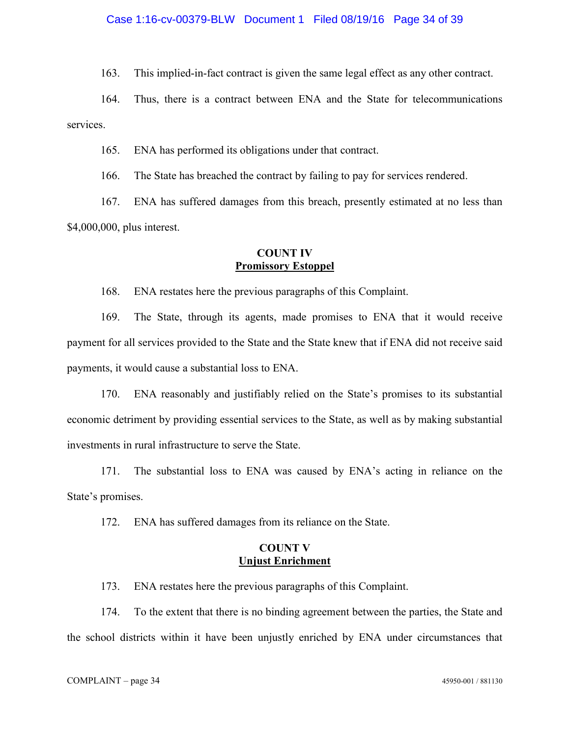163. This implied-in-fact contract is given the same legal effect as any other contract.

164. Thus, there is a contract between ENA and the State for telecommunications services.

165. ENA has performed its obligations under that contract.

166. The State has breached the contract by failing to pay for services rendered.

167. ENA has suffered damages from this breach, presently estimated at no less than \$4,000,000, plus interest.

# **COUNT IV Promissory Estoppel**

168. ENA restates here the previous paragraphs of this Complaint.

169. The State, through its agents, made promises to ENA that it would receive payment for all services provided to the State and the State knew that if ENA did not receive said payments, it would cause a substantial loss to ENA.

170. ENA reasonably and justifiably relied on the State's promises to its substantial economic detriment by providing essential services to the State, as well as by making substantial investments in rural infrastructure to serve the State.

171. The substantial loss to ENA was caused by ENA's acting in reliance on the State's promises.

172. ENA has suffered damages from its reliance on the State.

# **COUNT V Unjust Enrichment**

173. ENA restates here the previous paragraphs of this Complaint.

174. To the extent that there is no binding agreement between the parties, the State and the school districts within it have been unjustly enriched by ENA under circumstances that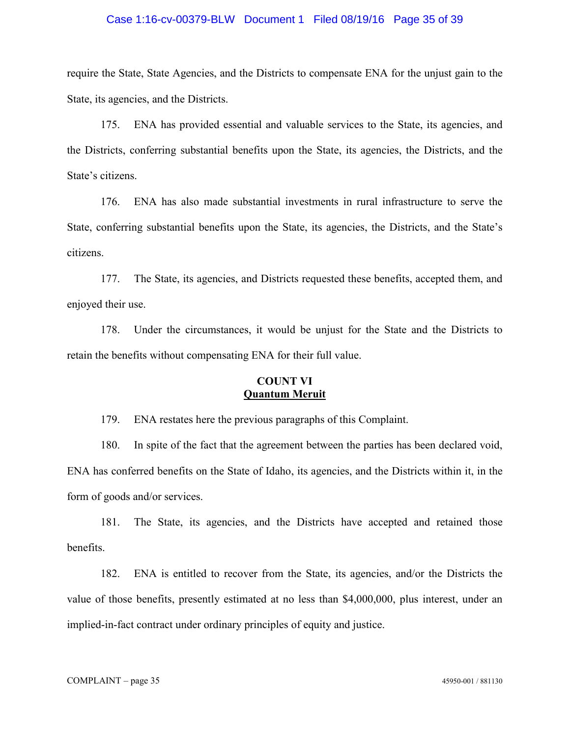## Case 1:16-cv-00379-BLW Document 1 Filed 08/19/16 Page 35 of 39

require the State, State Agencies, and the Districts to compensate ENA for the unjust gain to the State, its agencies, and the Districts.

175. ENA has provided essential and valuable services to the State, its agencies, and the Districts, conferring substantial benefits upon the State, its agencies, the Districts, and the State's citizens.

176. ENA has also made substantial investments in rural infrastructure to serve the State, conferring substantial benefits upon the State, its agencies, the Districts, and the State's citizens.

177. The State, its agencies, and Districts requested these benefits, accepted them, and enjoyed their use.

178. Under the circumstances, it would be unjust for the State and the Districts to retain the benefits without compensating ENA for their full value.

# **COUNT VI Quantum Meruit**

179. ENA restates here the previous paragraphs of this Complaint.

180. In spite of the fact that the agreement between the parties has been declared void, ENA has conferred benefits on the State of Idaho, its agencies, and the Districts within it, in the form of goods and/or services.

181. The State, its agencies, and the Districts have accepted and retained those benefits.

182. ENA is entitled to recover from the State, its agencies, and/or the Districts the value of those benefits, presently estimated at no less than \$4,000,000, plus interest, under an implied-in-fact contract under ordinary principles of equity and justice.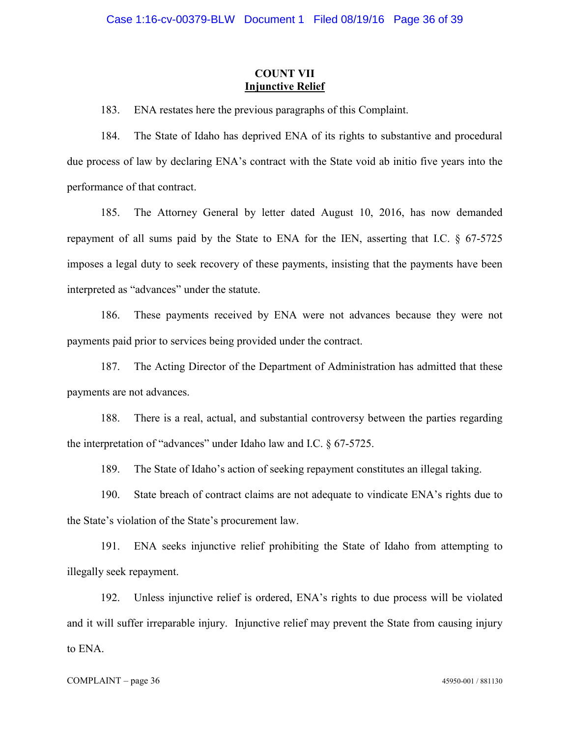## **COUNT VII Injunctive Relief**

183. ENA restates here the previous paragraphs of this Complaint.

184. The State of Idaho has deprived ENA of its rights to substantive and procedural due process of law by declaring ENA's contract with the State void ab initio five years into the performance of that contract.

185. The Attorney General by letter dated August 10, 2016, has now demanded repayment of all sums paid by the State to ENA for the IEN, asserting that I.C. § 67-5725 imposes a legal duty to seek recovery of these payments, insisting that the payments have been interpreted as "advances" under the statute.

186. These payments received by ENA were not advances because they were not payments paid prior to services being provided under the contract.

187. The Acting Director of the Department of Administration has admitted that these payments are not advances.

188. There is a real, actual, and substantial controversy between the parties regarding the interpretation of "advances" under Idaho law and I.C. § 67-5725.

189. The State of Idaho's action of seeking repayment constitutes an illegal taking.

190. State breach of contract claims are not adequate to vindicate ENA's rights due to the State's violation of the State's procurement law.

191. ENA seeks injunctive relief prohibiting the State of Idaho from attempting to illegally seek repayment.

192. Unless injunctive relief is ordered, ENA's rights to due process will be violated and it will suffer irreparable injury. Injunctive relief may prevent the State from causing injury to ENA.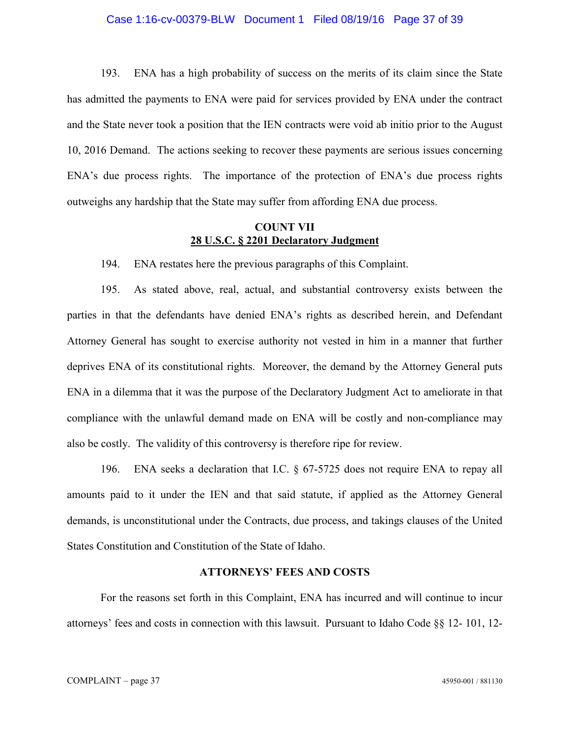## Case 1:16-cv-00379-BLW Document 1 Filed 08/19/16 Page 37 of 39

193. ENA has a high probability of success on the merits of its claim since the State has admitted the payments to ENA were paid for services provided by ENA under the contract and the State never took a position that the IEN contracts were void ab initio prior to the August 10, 2016 Demand. The actions seeking to recover these payments are serious issues concerning ENA's due process rights. The importance of the protection of ENA's due process rights outweighs any hardship that the State may suffer from affording ENA due process.

## **COUNT VII 28 U.S.C. § 2201 Declaratory Judgment**

194. ENA restates here the previous paragraphs of this Complaint.

195. As stated above, real, actual, and substantial controversy exists between the parties in that the defendants have denied ENA's rights as described herein, and Defendant Attorney General has sought to exercise authority not vested in him in a manner that further deprives ENA of its constitutional rights. Moreover, the demand by the Attorney General puts ENA in a dilemma that it was the purpose of the Declaratory Judgment Act to ameliorate in that compliance with the unlawful demand made on ENA will be costly and non-compliance may also be costly. The validity of this controversy is therefore ripe for review.

196. ENA seeks a declaration that I.C. § 67-5725 does not require ENA to repay all amounts paid to it under the IEN and that said statute, if applied as the Attorney General demands, is unconstitutional under the Contracts, due process, and takings clauses of the United States Constitution and Constitution of the State of Idaho.

## **ATTORNEYS' FEES AND COSTS**

For the reasons set forth in this Complaint, ENA has incurred and will continue to incur attorneys' fees and costs in connection with this lawsuit. Pursuant to Idaho Code §§ 12- 101, 12-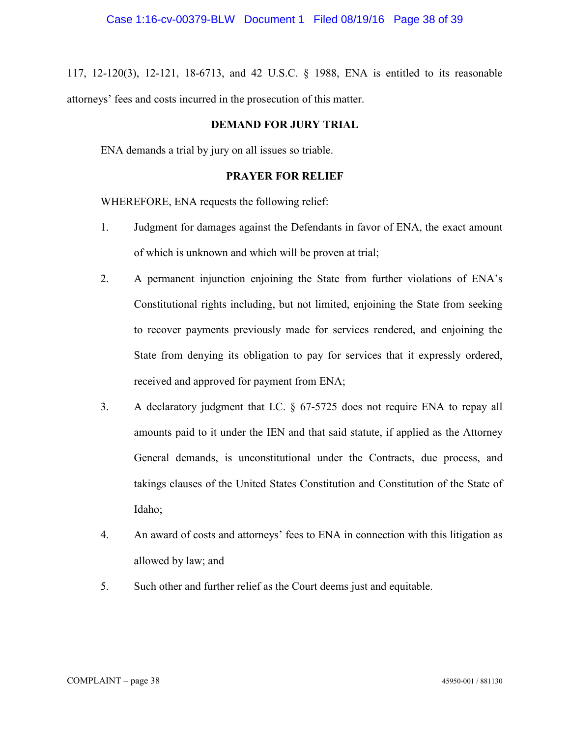117, 12-120(3), 12-121, 18-6713, and 42 U.S.C. § 1988, ENA is entitled to its reasonable attorneys' fees and costs incurred in the prosecution of this matter.

## **DEMAND FOR JURY TRIAL**

ENA demands a trial by jury on all issues so triable.

# **PRAYER FOR RELIEF**

WHEREFORE, ENA requests the following relief:

- 1. Judgment for damages against the Defendants in favor of ENA, the exact amount of which is unknown and which will be proven at trial;
- 2. A permanent injunction enjoining the State from further violations of ENA's Constitutional rights including, but not limited, enjoining the State from seeking to recover payments previously made for services rendered, and enjoining the State from denying its obligation to pay for services that it expressly ordered, received and approved for payment from ENA;
- 3. A declaratory judgment that I.C. § 67-5725 does not require ENA to repay all amounts paid to it under the IEN and that said statute, if applied as the Attorney General demands, is unconstitutional under the Contracts, due process, and takings clauses of the United States Constitution and Constitution of the State of Idaho;
- 4. An award of costs and attorneys' fees to ENA in connection with this litigation as allowed by law; and
- 5. Such other and further relief as the Court deems just and equitable.